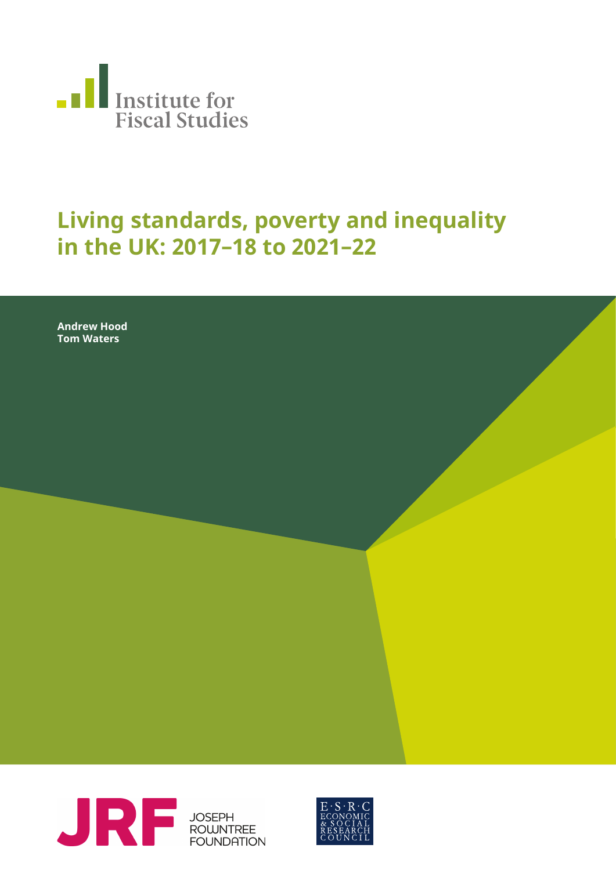

## **Living standards, poverty and inequality in the UK: 2017–18 to 2021–22**

**Andrew Hood Tom Waters**



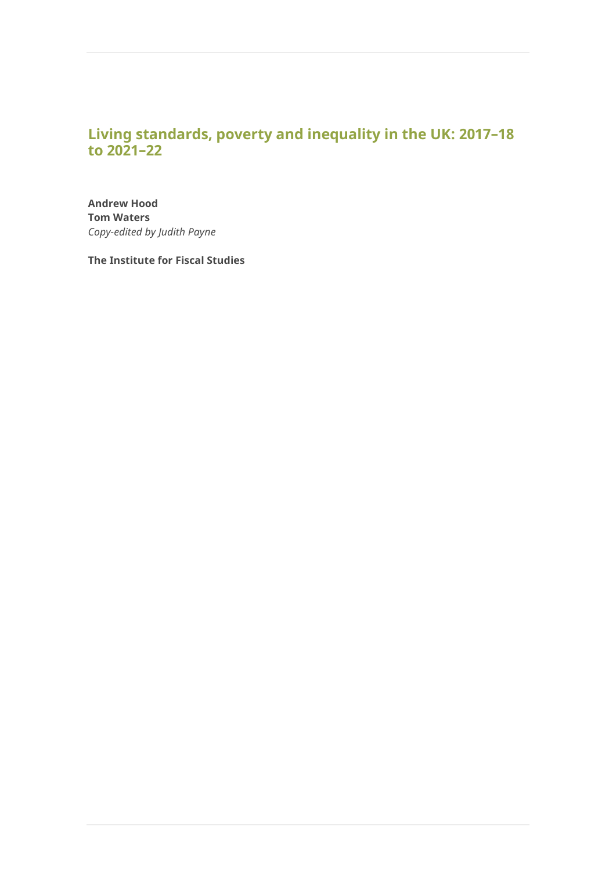## **Living standards, poverty and inequality in the UK: 2017–18 to 2021–22**

**Andrew Hood Tom Waters** *Copy-edited by Judith Payne*

**The Institute for Fiscal Studies**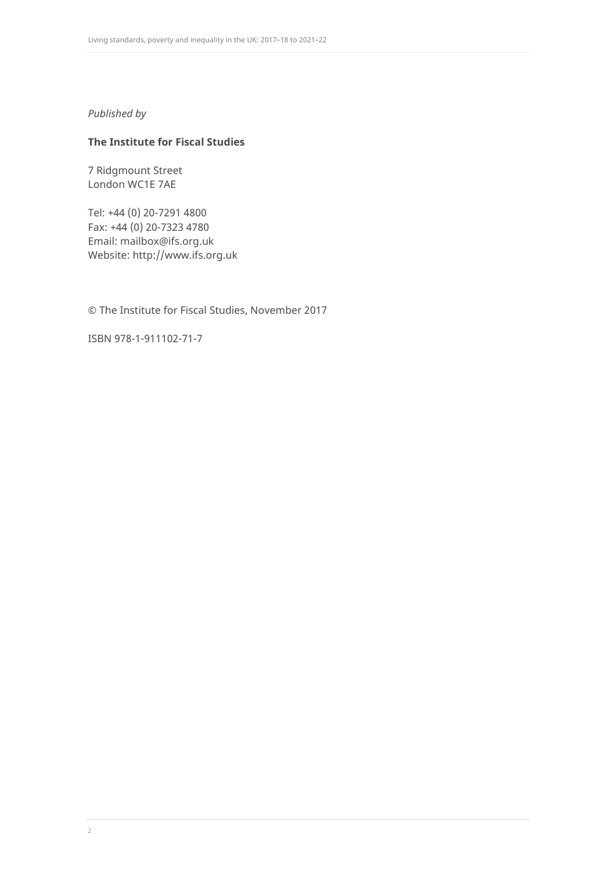### *Published by*

### **The Institute for Fiscal Studies**

7 Ridgmount Street London WC1E 7AE

Tel: +44 (0) 20-7291 4800 Fax: +44 (0) 20-7323 4780 Email: [mailbox@ifs.org.uk](mailto:mailbox@ifs.org.uk) Website: [http://www.ifs.org.uk](http://www.ifs.org.uk/)

© The Institute for Fiscal Studies, November 2017

ISBN 978-1-911102-71-7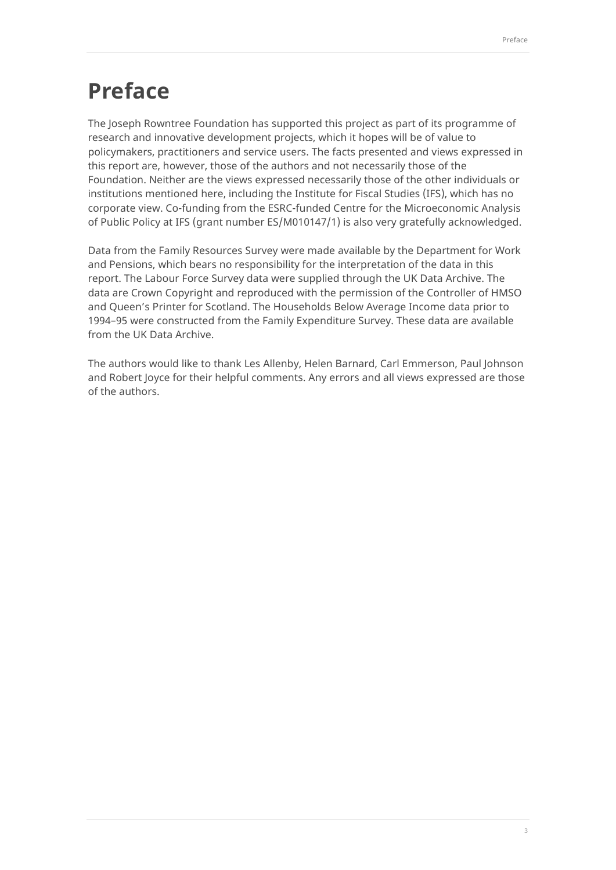## **Preface**

The Joseph Rowntree Foundation has supported this project as part of its programme of research and innovative development projects, which it hopes will be of value to policymakers, practitioners and service users. The facts presented and views expressed in this report are, however, those of the authors and not necessarily those of the Foundation. Neither are the views expressed necessarily those of the other individuals or institutions mentioned here, including the Institute for Fiscal Studies (IFS), which has no corporate view. Co-funding from the ESRC-funded Centre for the Microeconomic Analysis of Public Policy at IFS (grant number ES/M010147/1) is also very gratefully acknowledged.

Data from the Family Resources Survey were made available by the Department for Work and Pensions, which bears no responsibility for the interpretation of the data in this report. The Labour Force Survey data were supplied through the UK Data Archive. The data are Crown Copyright and reproduced with the permission of the Controller of HMSO and Queen's Printer for Scotland. The Households Below Average Income data prior to 1994–95 were constructed from the Family Expenditure Survey. These data are available from the UK Data Archive.

The authors would like to thank Les Allenby, Helen Barnard, Carl Emmerson, Paul Johnson and Robert Joyce for their helpful comments. Any errors and all views expressed are those of the authors.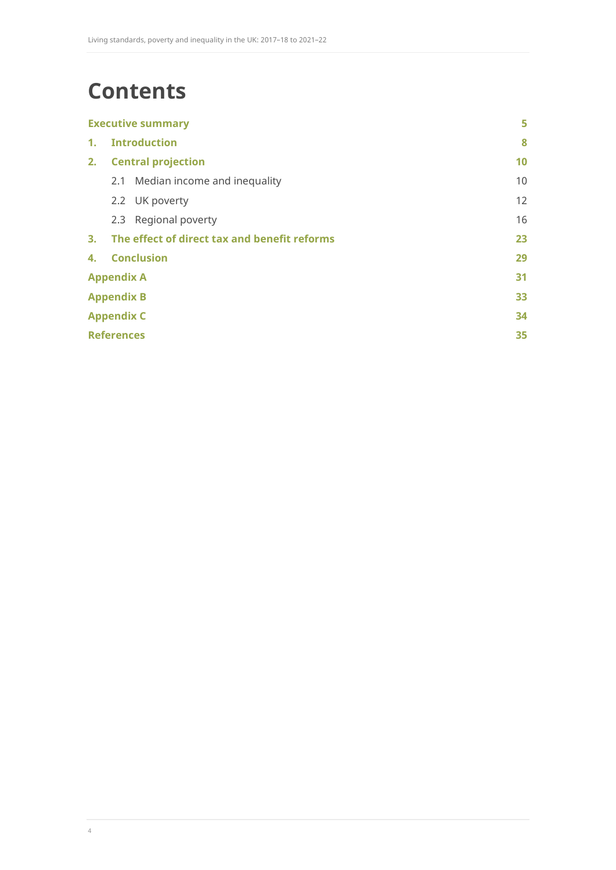# **Contents**

| <b>Executive summary</b> |                                              | 5  |
|--------------------------|----------------------------------------------|----|
| $\mathbf{1}$ .           | <b>Introduction</b>                          | 8  |
| 2.                       | <b>Central projection</b>                    | 10 |
|                          | 2.1 Median income and inequality             | 10 |
|                          | 2.2 UK poverty                               | 12 |
|                          | 2.3 Regional poverty                         | 16 |
| 3.                       | The effect of direct tax and benefit reforms | 23 |
| 4.                       | <b>Conclusion</b>                            | 29 |
| <b>Appendix A</b>        |                                              | 31 |
| <b>Appendix B</b>        |                                              | 33 |
| <b>Appendix C</b>        |                                              | 34 |
| <b>References</b>        |                                              | 35 |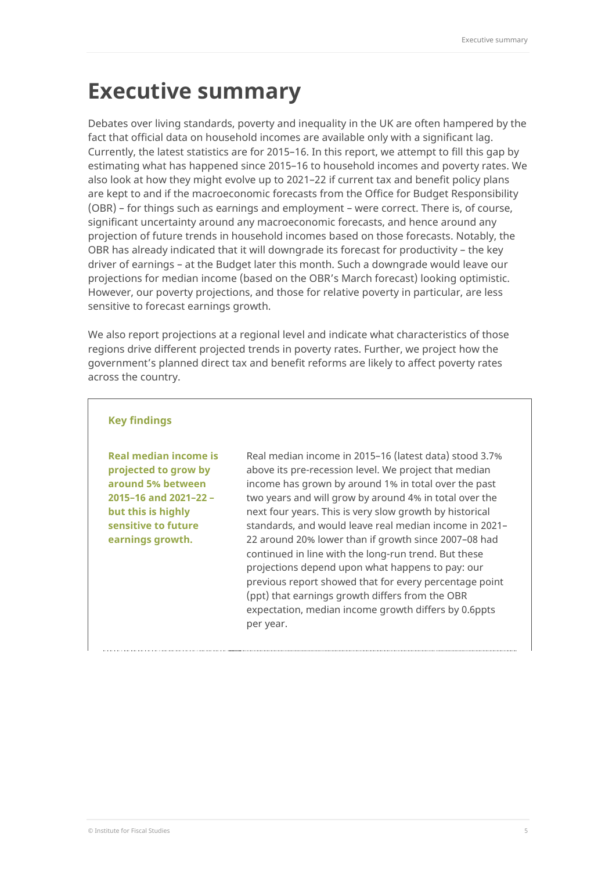## <span id="page-5-0"></span>**Executive summary**

Debates over living standards, poverty and inequality in the UK are often hampered by the fact that official data on household incomes are available only with a significant lag. Currently, the latest statistics are for 2015–16. In this report, we attempt to fill this gap by estimating what has happened since 2015–16 to household incomes and poverty rates. We also look at how they might evolve up to 2021–22 if current tax and benefit policy plans are kept to and if the macroeconomic forecasts from the Office for Budget Responsibility (OBR) – for things such as earnings and employment – were correct. There is, of course, significant uncertainty around any macroeconomic forecasts, and hence around any projection of future trends in household incomes based on those forecasts. Notably, the OBR has already indicated that it will downgrade its forecast for productivity – the key driver of earnings – at the Budget later this month. Such a downgrade would leave our projections for median income (based on the OBR's March forecast) looking optimistic. However, our poverty projections, and those for relative poverty in particular, are less sensitive to forecast earnings growth.

We also report projections at a regional level and indicate what characteristics of those regions drive different projected trends in poverty rates. Further, we project how the government's planned direct tax and benefit reforms are likely to affect poverty rates across the country.

### **Key findings**

**Real median income is projected to grow by around 5% between 2015–16 and 2021–22 – but this is highly sensitive to future earnings growth.**

Real median income in 2015–16 (latest data) stood 3.7% above its pre-recession level. We project that median income has grown by around 1% in total over the past two years and will grow by around 4% in total over the next four years. This is very slow growth by historical standards, and would leave real median income in 2021– 22 around 20% lower than if growth since 2007–08 had continued in line with the long-run trend. But these projections depend upon what happens to pay: our previous report showed that for every percentage point (ppt) that earnings growth differs from the OBR expectation, median income growth differs by 0.6ppts per year.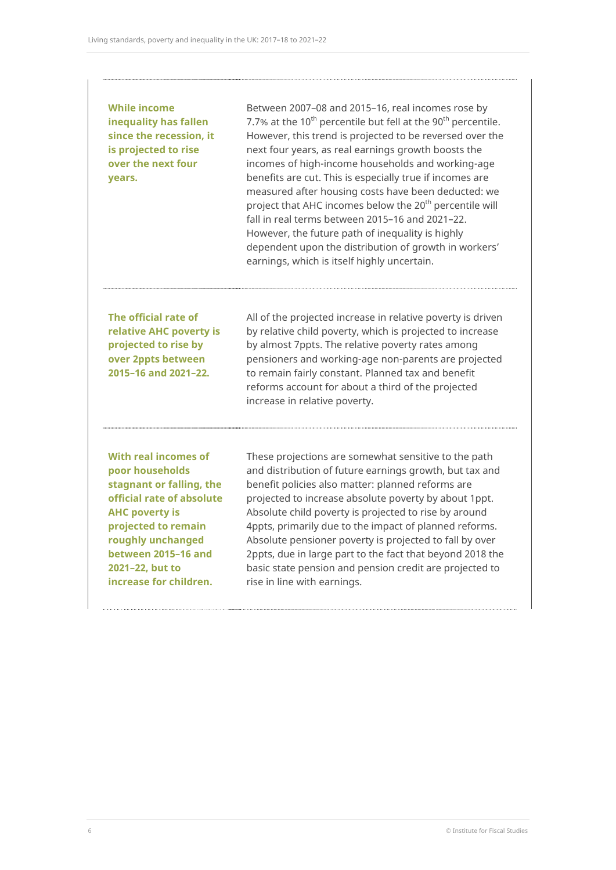### **While income inequality has fallen since the recession, it is projected to rise over the next four years.**

Between 2007–08 and 2015–16, real incomes rose by 7.7% at the  $10^{th}$  percentile but fell at the  $90^{th}$  percentile. However, this trend is projected to be reversed over the next four years, as real earnings growth boosts the incomes of high-income households and working-age benefits are cut. This is especially true if incomes are measured after housing costs have been deducted: we project that AHC incomes below the 20<sup>th</sup> percentile will fall in real terms between 2015–16 and 2021–22. However, the future path of inequality is highly dependent upon the distribution of growth in workers' earnings, which is itself highly uncertain.

**The official rate of relative AHC poverty is projected to rise by over 2ppts between 2015–16 and 2021–22.** 

All of the projected increase in relative poverty is driven by relative child poverty, which is projected to increase by almost 7ppts. The relative poverty rates among pensioners and working-age non-parents are projected to remain fairly constant. Planned tax and benefit reforms account for about a third of the projected increase in relative poverty.

**With real incomes of poor households stagnant or falling, the official rate of absolute AHC poverty is projected to remain roughly unchanged between 2015–16 and 2021–22, but to increase for children.** 

These projections are somewhat sensitive to the path and distribution of future earnings growth, but tax and benefit policies also matter: planned reforms are projected to increase absolute poverty by about 1ppt. Absolute child poverty is projected to rise by around 4ppts, primarily due to the impact of planned reforms. Absolute pensioner poverty is projected to fall by over 2ppts, due in large part to the fact that beyond 2018 the basic state pension and pension credit are projected to rise in line with earnings.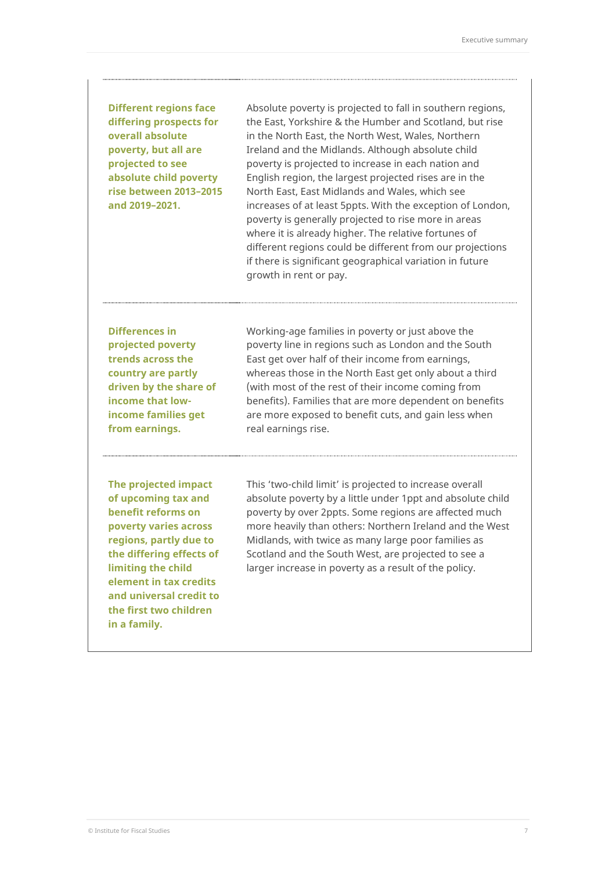### **Different regions face differing prospects for overall absolute poverty, but all are projected to see absolute child poverty rise between 2013–2015 and 2019–2021.**

Absolute poverty is projected to fall in southern regions, the East, Yorkshire & the Humber and Scotland, but rise in the North East, the North West, Wales, Northern Ireland and the Midlands. Although absolute child poverty is projected to increase in each nation and English region, the largest projected rises are in the North East, East Midlands and Wales, which see increases of at least 5ppts. With the exception of London, poverty is generally projected to rise more in areas where it is already higher. The relative fortunes of different regions could be different from our projections if there is significant geographical variation in future growth in rent or pay.

**Differences in projected poverty trends across the country are partly driven by the share of income that lowincome families get from earnings.** 

Working-age families in poverty or just above the poverty line in regions such as London and the South East get over half of their income from earnings, whereas those in the North East get only about a third (with most of the rest of their income coming from benefits). Families that are more dependent on benefits are more exposed to benefit cuts, and gain less when real earnings rise.

**The projected impact of upcoming tax and benefit reforms on poverty varies across regions, partly due to the differing effects of limiting the child element in tax credits and universal credit to the first two children in a family.** 

This 'two-child limit' is projected to increase overall absolute poverty by a little under 1ppt and absolute child poverty by over 2ppts. Some regions are affected much more heavily than others: Northern Ireland and the West Midlands, with twice as many large poor families as Scotland and the South West, are projected to see a larger increase in poverty as a result of the policy.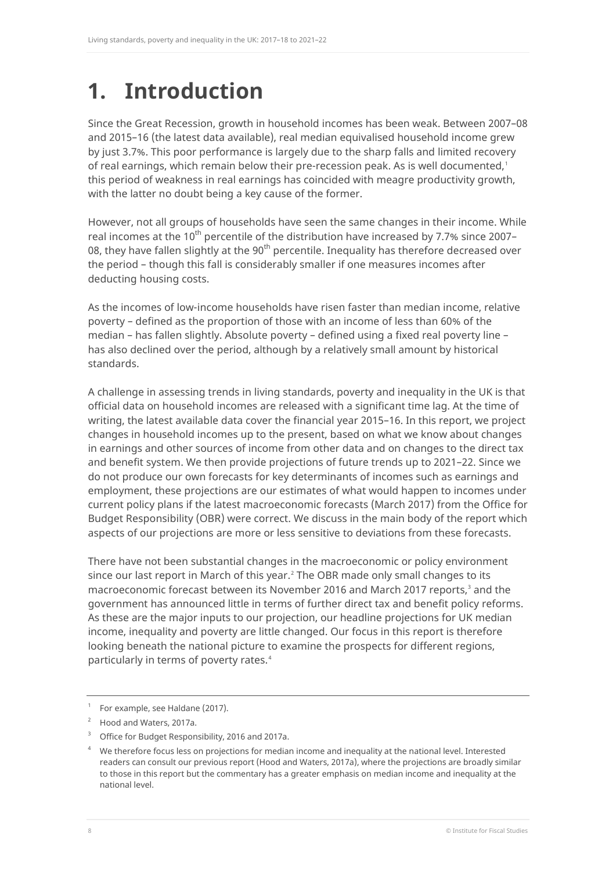# <span id="page-8-0"></span>**1. Introduction**

Since the Great Recession, growth in household incomes has been weak. Between 2007–08 and 2015–16 (the latest data available), real median equivalised household income grew by just 3.7%. This poor performance is largely due to the sharp falls and limited recovery of real earnings, which remain below their pre-recession peak. As is well documented,<sup>[1](#page-8-1)</sup> this period of weakness in real earnings has coincided with meagre productivity growth, with the latter no doubt being a key cause of the former.

However, not all groups of households have seen the same changes in their income. While real incomes at the 10<sup>th</sup> percentile of the distribution have increased by 7.7% since 2007– 08, they have fallen slightly at the  $90<sup>th</sup>$  percentile. Inequality has therefore decreased over the period – though this fall is considerably smaller if one measures incomes after deducting housing costs.

As the incomes of low-income households have risen faster than median income, relative poverty – defined as the proportion of those with an income of less than 60% of the median – has fallen slightly. Absolute poverty – defined using a fixed real poverty line – has also declined over the period, although by a relatively small amount by historical standards.

A challenge in assessing trends in living standards, poverty and inequality in the UK is that official data on household incomes are released with a significant time lag. At the time of writing, the latest available data cover the financial year 2015–16. In this report, we project changes in household incomes up to the present, based on what we know about changes in earnings and other sources of income from other data and on changes to the direct tax and benefit system. We then provide projections of future trends up to 2021–22. Since we do not produce our own forecasts for key determinants of incomes such as earnings and employment, these projections are our estimates of what would happen to incomes under current policy plans if the latest macroeconomic forecasts (March 2017) from the Office for Budget Responsibility (OBR) were correct. We discuss in the main body of the report which aspects of our projections are more or less sensitive to deviations from these forecasts.

There have not been substantial changes in the macroeconomic or policy environment since our last report in March of this year.<sup>[2](#page-8-2)</sup> The OBR made only small changes to its macroeconomic forecast between its November 2016 and March 2017 reports,<sup>[3](#page-8-3)</sup> and the government has announced little in terms of further direct tax and benefit policy reforms. As these are the major inputs to our projection, our headline projections for UK median income, inequality and poverty are little changed. Our focus in this report is therefore looking beneath the national picture to examine the prospects for different regions, particularly in terms of poverty rates. [4](#page-8-4)

<sup>1</sup> For example, see Haldane (2017).

<span id="page-8-2"></span><span id="page-8-1"></span><sup>2</sup> Hood and Waters, 2017a.

<span id="page-8-3"></span><sup>3</sup> Office for Budget Responsibility, 2016 and 2017a.

<span id="page-8-4"></span><sup>4</sup> We therefore focus less on projections for median income and inequality at the national level. Interested readers can consult our previous report (Hood and Waters, 2017a), where the projections are broadly similar to those in this report but the commentary has a greater emphasis on median income and inequality at the national level.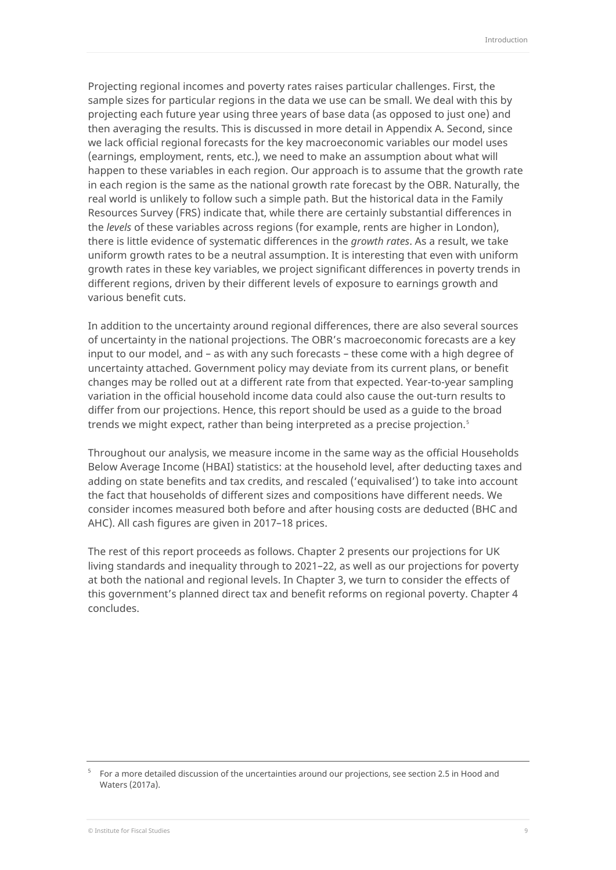Projecting regional incomes and poverty rates raises particular challenges. First, the sample sizes for particular regions in the data we use can be small. We deal with this by projecting each future year using three years of base data (as opposed to just one) and then averaging the results. This is discussed in more detail in [Appendix A.](#page-31-0) Second, since we lack official regional forecasts for the key macroeconomic variables our model uses (earnings, employment, rents, etc.), we need to make an assumption about what will happen to these variables in each region. Our approach is to assume that the growth rate in each region is the same as the national growth rate forecast by the OBR. Naturally, the real world is unlikely to follow such a simple path. But the historical data in the Family Resources Survey (FRS) indicate that, while there are certainly substantial differences in the *levels* of these variables across regions (for example, rents are higher in London), there is little evidence of systematic differences in the *growth rates*. As a result, we take uniform growth rates to be a neutral assumption. It is interesting that even with uniform growth rates in these key variables, we project significant differences in poverty trends in different regions, driven by their different levels of exposure to earnings growth and various benefit cuts.

In addition to the uncertainty around regional differences, there are also several sources of uncertainty in the national projections. The OBR's macroeconomic forecasts are a key input to our model, and – as with any such forecasts – these come with a high degree of uncertainty attached. Government policy may deviate from its current plans, or benefit changes may be rolled out at a different rate from that expected. Year-to-year sampling variation in the official household income data could also cause the out-turn results to differ from our projections. Hence, this report should be used as a guide to the broad trends we might expect, rather than being interpreted as a precise projection. [5](#page-9-0)

Throughout our analysis, we measure income in the same way as the official Households Below Average Income (HBAI) statistics: at the household level, after deducting taxes and adding on state benefits and tax credits, and rescaled ('equivalised') to take into account the fact that households of different sizes and compositions have different needs. We consider incomes measured both before and after housing costs are deducted (BHC and AHC). All cash figures are given in 2017–18 prices.

The rest of this report proceeds as follows. Chapter 2 presents our projections for UK living standards and inequality through to 2021–22, as well as our projections for poverty at both the national and regional levels. In Chapter 3, we turn to consider the effects of this government's planned direct tax and benefit reforms on regional poverty. Chapter 4 concludes.

<span id="page-9-0"></span><sup>5</sup> For a more detailed discussion of the uncertainties around our projections, see section 2.5 in Hood and Waters (2017a).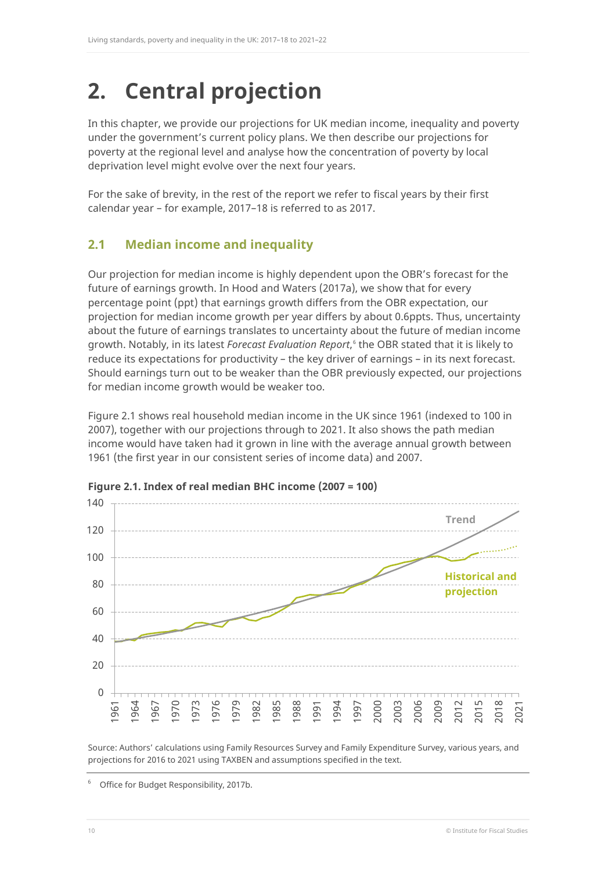# <span id="page-10-0"></span>**2. Central projection**

In this chapter, we provide our projections for UK median income, inequality and poverty under the government's current policy plans. We then describe our projections for poverty at the regional level and analyse how the concentration of poverty by local deprivation level might evolve over the next four years.

For the sake of brevity, in the rest of the report we refer to fiscal years by their first calendar year – for example, 2017–18 is referred to as 2017.

## <span id="page-10-1"></span>**2.1 Median income and inequality**

Our projection for median income is highly dependent upon the OBR's forecast for the future of earnings growth. In Hood and Waters (2017a), we show that for every percentage point (ppt) that earnings growth differs from the OBR expectation, our projection for median income growth per year differs by about 0.6ppts. Thus, uncertainty about the future of earnings translates to uncertainty about the future of median income growth. Notably, in its latest *Forecast Evaluation Report*, [6](#page-10-3) the OBR stated that it is likely to reduce its expectations for productivity – the key driver of earnings – in its next forecast. Should earnings turn out to be weaker than the OBR previously expected, our projections for median income growth would be weaker too.

[Figure 2.1](#page-10-2) shows real household median income in the UK since 1961 (indexed to 100 in 2007), together with our projections through to 2021. It also shows the path median income would have taken had it grown in line with the average annual growth between 1961 (the first year in our consistent series of income data) and 2007.



<span id="page-10-2"></span>**Figure 2.1. Index of real median BHC income (2007 = 100)**

Source: Authors' calculations using Family Resources Survey and Family Expenditure Survey, various years, and projections for 2016 to 2021 using TAXBEN and assumptions specified in the text.

<span id="page-10-3"></span>6 Office for Budget Responsibility, 2017b.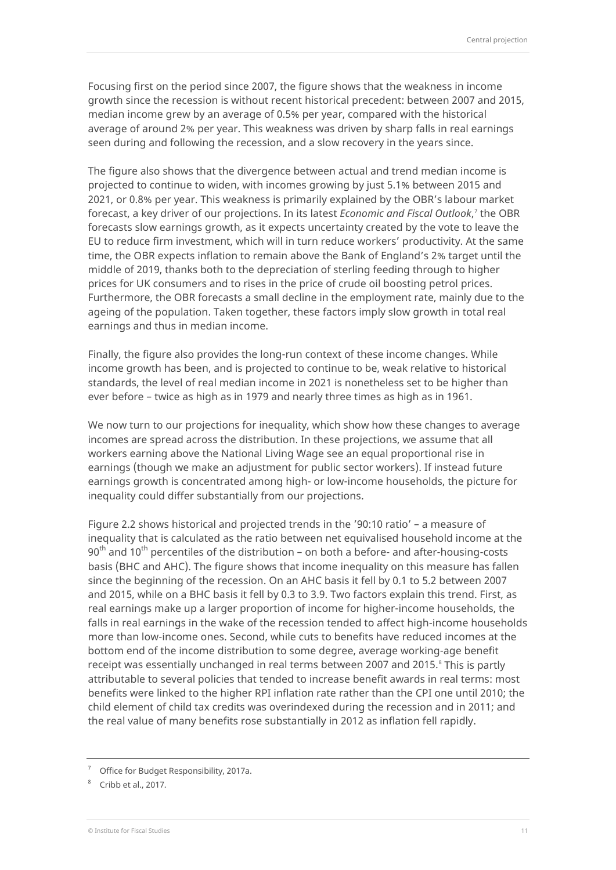Focusing first on the period since 2007, the figure shows that the weakness in income growth since the recession is without recent historical precedent: between 2007 and 2015, median income grew by an average of 0.5% per year, compared with the historical average of around 2% per year. This weakness was driven by sharp falls in real earnings seen during and following the recession, and a slow recovery in the years since.

The figure also shows that the divergence between actual and trend median income is projected to continue to widen, with incomes growing by just 5.1% between 2015 and 2021, or 0.8% per year. This weakness is primarily explained by the OBR's labour market forecast, a key driver of our projections. In its latest *Economic and Fiscal Outlook*, [7](#page-11-0) the OBR forecasts slow earnings growth, as it expects uncertainty created by the vote to leave the EU to reduce firm investment, which will in turn reduce workers' productivity. At the same time, the OBR expects inflation to remain above the Bank of England's 2% target until the middle of 2019, thanks both to the depreciation of sterling feeding through to higher prices for UK consumers and to rises in the price of crude oil boosting petrol prices. Furthermore, the OBR forecasts a small decline in the employment rate, mainly due to the ageing of the population. Taken together, these factors imply slow growth in total real earnings and thus in median income.

Finally, the figure also provides the long-run context of these income changes. While income growth has been, and is projected to continue to be, weak relative to historical standards, the level of real median income in 2021 is nonetheless set to be higher than ever before – twice as high as in 1979 and nearly three times as high as in 1961.

We now turn to our projections for inequality, which show how these changes to average incomes are spread across the distribution. In these projections, we assume that all workers earning above the National Living Wage see an equal proportional rise in earnings (though we make an adjustment for public sector workers). If instead future earnings growth is concentrated among high- or low-income households, the picture for inequality could differ substantially from our projections.

[Figure 2.2](#page-12-1) shows historical and projected trends in the '90:10 ratio' – a measure of inequality that is calculated as the ratio between net equivalised household income at the  $90<sup>th</sup>$  and  $10<sup>th</sup>$  percentiles of the distribution – on both a before- and after-housing-costs basis (BHC and AHC). The figure shows that income inequality on this measure has fallen since the beginning of the recession. On an AHC basis it fell by 0.1 to 5.2 between 2007 and 2015, while on a BHC basis it fell by 0.3 to 3.9. Two factors explain this trend. First, as real earnings make up a larger proportion of income for higher-income households, the falls in real earnings in the wake of the recession tended to affect high-income households more than low-income ones. Second, while cuts to benefits have reduced incomes at the bottom end of the income distribution to some degree, average working-age benefit receipt was essentially unchanged in real terms between 2007 and 2015.<sup>[8](#page-11-1)</sup> This is partly attributable to several policies that tended to increase benefit awards in real terms: most benefits were linked to the higher RPI inflation rate rather than the CPI one until 2010; the child element of child tax credits was overindexed during the recession and in 2011; and the real value of many benefits rose substantially in 2012 as inflation fell rapidly.

<span id="page-11-0"></span> $7$  Office for Budget Responsibility, 2017a.

<span id="page-11-1"></span><sup>8</sup> Cribb et al., 2017.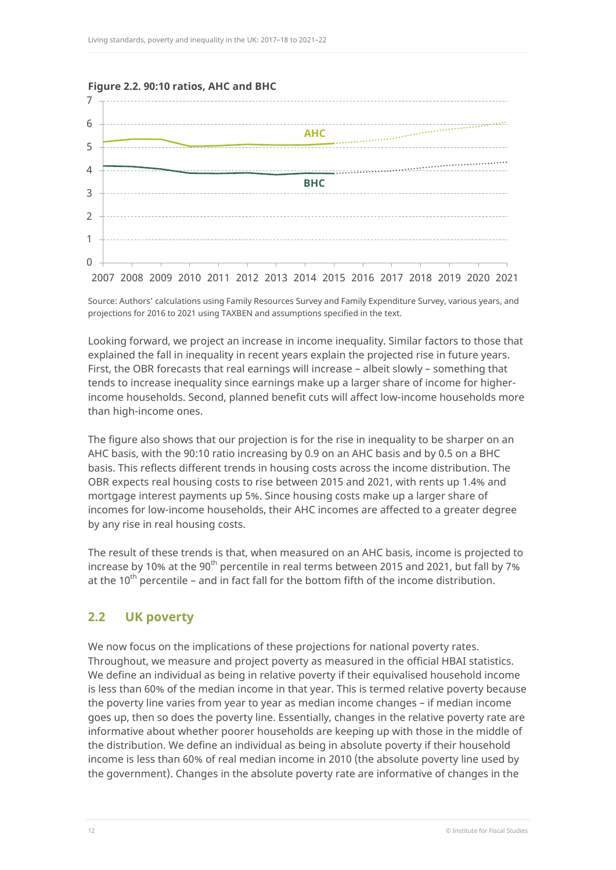

#### <span id="page-12-1"></span>**Figure 2.2. 90:10 ratios, AHC and BHC**

Source: Authors' calculations using Family Resources Survey and Family Expenditure Survey, various years, and projections for 2016 to 2021 using TAXBEN and assumptions specified in the text.

Looking forward, we project an increase in income inequality. Similar factors to those that explained the fall in inequality in recent years explain the projected rise in future years. First, the OBR forecasts that real earnings will increase – albeit slowly – something that tends to increase inequality since earnings make up a larger share of income for higherincome households. Second, planned benefit cuts will affect low-income households more than high-income ones.

The figure also shows that our projection is for the rise in inequality to be sharper on an AHC basis, with the 90:10 ratio increasing by 0.9 on an AHC basis and by 0.5 on a BHC basis. This reflects different trends in housing costs across the income distribution. The OBR expects real housing costs to rise between 2015 and 2021, with rents up 1.4% and mortgage interest payments up 5%. Since housing costs make up a larger share of incomes for low-income households, their AHC incomes are affected to a greater degree by any rise in real housing costs.

The result of these trends is that, when measured on an AHC basis, income is projected to increase by 10% at the 90<sup>th</sup> percentile in real terms between 2015 and 2021, but fall by 7% at the 10<sup>th</sup> percentile – and in fact fall for the bottom fifth of the income distribution.

## <span id="page-12-0"></span>**2.2 UK poverty**

We now focus on the implications of these projections for national poverty rates. Throughout, we measure and project poverty as measured in the official HBAI statistics. We define an individual as being in relative poverty if their equivalised household income is less than 60% of the median income in that year. This is termed relative poverty because the poverty line varies from year to year as median income changes – if median income goes up, then so does the poverty line. Essentially, changes in the relative poverty rate are informative about whether poorer households are keeping up with those in the middle of the distribution. We define an individual as being in absolute poverty if their household income is less than 60% of real median income in 2010 (the absolute poverty line used by the government). Changes in the absolute poverty rate are informative of changes in the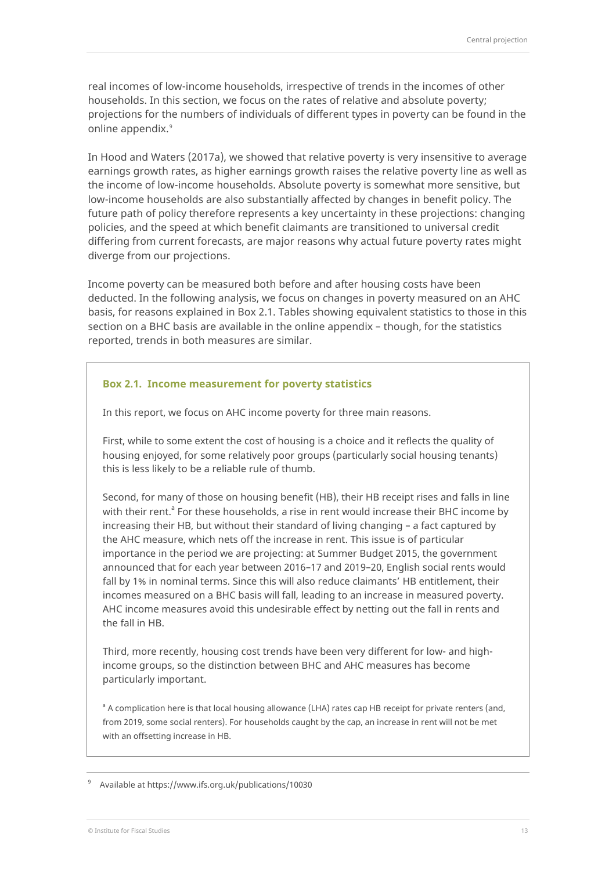real incomes of low-income households, irrespective of trends in the incomes of other households. In this section, we focus on the rates of relative and absolute poverty; projections for the numbers of individuals of different types in poverty can be found in the online appendix.<sup>[9](#page-13-1)</sup>

In Hood and Waters (2017a), we showed that relative poverty is very insensitive to average earnings growth rates, as higher earnings growth raises the relative poverty line as well as the income of low-income households. Absolute poverty is somewhat more sensitive, but low-income households are also substantially affected by changes in benefit policy. The future path of policy therefore represents a key uncertainty in these projections: changing policies, and the speed at which benefit claimants are transitioned to universal credit differing from current forecasts, are major reasons why actual future poverty rates might diverge from our projections.

Income poverty can be measured both before and after housing costs have been deducted. In the following analysis, we focus on changes in poverty measured on an AHC basis, for reasons explained in [Box 2.1.](#page-13-0) Tables showing equivalent statistics to those in this section on a BHC basis are available in the online appendix – though, for the statistics reported, trends in both measures are similar.

#### <span id="page-13-0"></span>**Box 2.1. Income measurement for poverty statistics**

In this report, we focus on AHC income poverty for three main reasons.

First, while to some extent the cost of housing is a choice and it reflects the quality of housing enjoyed, for some relatively poor groups (particularly social housing tenants) this is less likely to be a reliable rule of thumb.

Second, for many of those on housing benefit (HB), their HB receipt rises and falls in line with their rent. $a<sup>a</sup>$  For these households, a rise in rent would increase their BHC income by increasing their HB, but without their standard of living changing – a fact captured by the AHC measure, which nets off the increase in rent. This issue is of particular importance in the period we are projecting: at Summer Budget 2015, the government announced that for each year between 2016–17 and 2019–20, English social rents would fall by 1% in nominal terms. Since this will also reduce claimants' HB entitlement, their incomes measured on a BHC basis will fall, leading to an increase in measured poverty. AHC income measures avoid this undesirable effect by netting out the fall in rents and the fall in HB.

Third, more recently, housing cost trends have been very different for low- and highincome groups, so the distinction between BHC and AHC measures has become particularly important.

<sup>a</sup> A complication here is that local housing allowance (LHA) rates cap HB receipt for private renters (and, from 2019, some social renters). For households caught by the cap, an increase in rent will not be met with an offsetting increase in HB.

<span id="page-13-1"></span>9 Available at [https://www.ifs.org.uk/publications/100](https://www.ifs.org.uk/publications/10006)30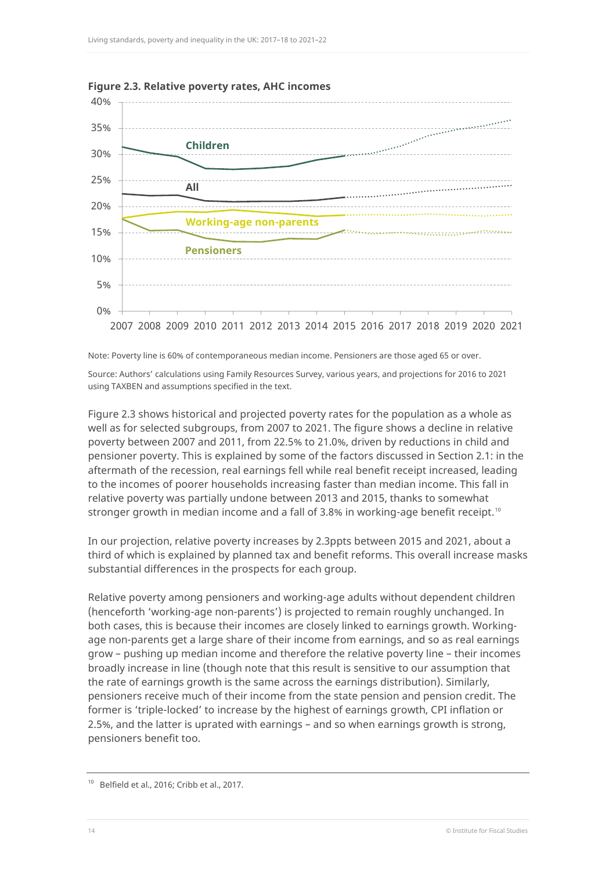

<span id="page-14-0"></span>**Figure 2.3. Relative poverty rates, AHC incomes**

Note: Poverty line is 60% of contemporaneous median income. Pensioners are those aged 65 or over.

Source: Authors' calculations using Family Resources Survey, various years, and projections for 2016 to 2021 using TAXBEN and assumptions specified in the text.

[Figure 2.3](#page-14-0) shows historical and projected poverty rates for the population as a whole as well as for selected subgroups, from 2007 to 2021. The figure shows a decline in relative poverty between 2007 and 2011, from 22.5% to 21.0%, driven by reductions in child and pensioner poverty. This is explained by some of the factors discussed in Section 2.1: in the aftermath of the recession, real earnings fell while real benefit receipt increased, leading to the incomes of poorer households increasing faster than median income. This fall in relative poverty was partially undone between 2013 and 2015, thanks to somewhat stronger growth in median income and a fall of 3.8% in working-age benefit receipt.<sup>[10](#page-14-1)</sup>

In our projection, relative poverty increases by 2.3ppts between 2015 and 2021, about a third of which is explained by planned tax and benefit reforms. This overall increase masks substantial differences in the prospects for each group.

Relative poverty among pensioners and working-age adults without dependent children (henceforth 'working-age non-parents') is projected to remain roughly unchanged. In both cases, this is because their incomes are closely linked to earnings growth. Workingage non-parents get a large share of their income from earnings, and so as real earnings grow – pushing up median income and therefore the relative poverty line – their incomes broadly increase in line (though note that this result is sensitive to our assumption that the rate of earnings growth is the same across the earnings distribution). Similarly, pensioners receive much of their income from the state pension and pension credit. The former is 'triple-locked' to increase by the highest of earnings growth, CPI inflation or 2.5%, and the latter is uprated with earnings – and so when earnings growth is strong, pensioners benefit too.

<span id="page-14-1"></span><sup>&</sup>lt;sup>10</sup> Belfield et al., 2016; Cribb et al., 2017.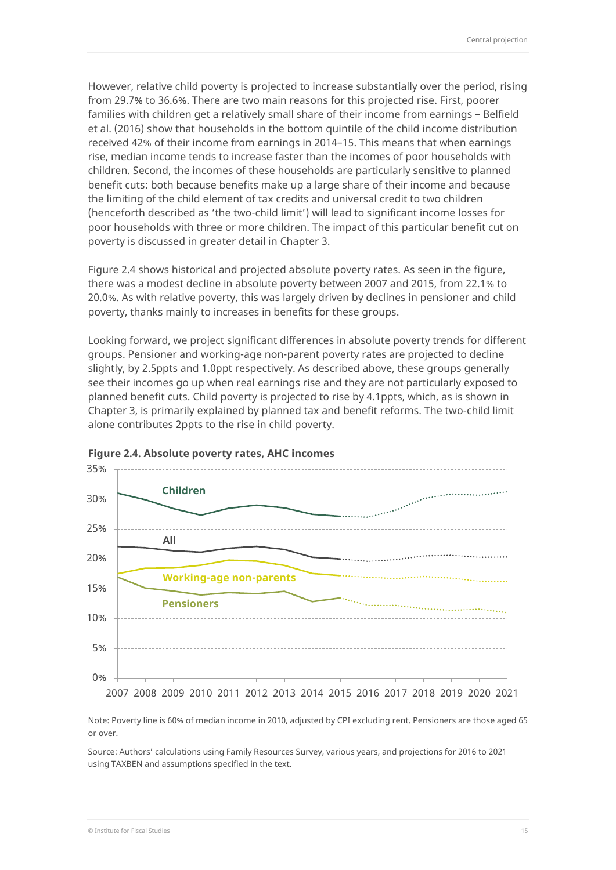However, relative child poverty is projected to increase substantially over the period, rising from 29.7% to 36.6%. There are two main reasons for this projected rise. First, poorer families with children get a relatively small share of their income from earnings – Belfield et al. (2016) show that households in the bottom quintile of the child income distribution received 42% of their income from earnings in 2014–15. This means that when earnings rise, median income tends to increase faster than the incomes of poor households with children. Second, the incomes of these households are particularly sensitive to planned benefit cuts: both because benefits make up a large share of their income and because the limiting of the child element of tax credits and universal credit to two children (henceforth described as 'the two-child limit') will lead to significant income losses for poor households with three or more children. The impact of this particular benefit cut on poverty is discussed in greater detail in Chapter 3.

[Figure 2.4](#page-15-0) shows historical and projected absolute poverty rates. As seen in the figure, there was a modest decline in absolute poverty between 2007 and 2015, from 22.1% to 20.0%. As with relative poverty, this was largely driven by declines in pensioner and child poverty, thanks mainly to increases in benefits for these groups.

Looking forward, we project significant differences in absolute poverty trends for different groups. Pensioner and working-age non-parent poverty rates are projected to decline slightly, by 2.5ppts and 1.0ppt respectively. As described above, these groups generally see their incomes go up when real earnings rise and they are not particularly exposed to planned benefit cuts. Child poverty is projected to rise by 4.1ppts, which, as is shown in Chapter 3, is primarily explained by planned tax and benefit reforms. The two-child limit alone contributes 2ppts to the rise in child poverty.



#### <span id="page-15-0"></span>**Figure 2.4. Absolute poverty rates, AHC incomes**

Note: Poverty line is 60% of median income in 2010, adjusted by CPI excluding rent. Pensioners are those aged 65 or over.

Source: Authors' calculations using Family Resources Survey, various years, and projections for 2016 to 2021 using TAXBEN and assumptions specified in the text.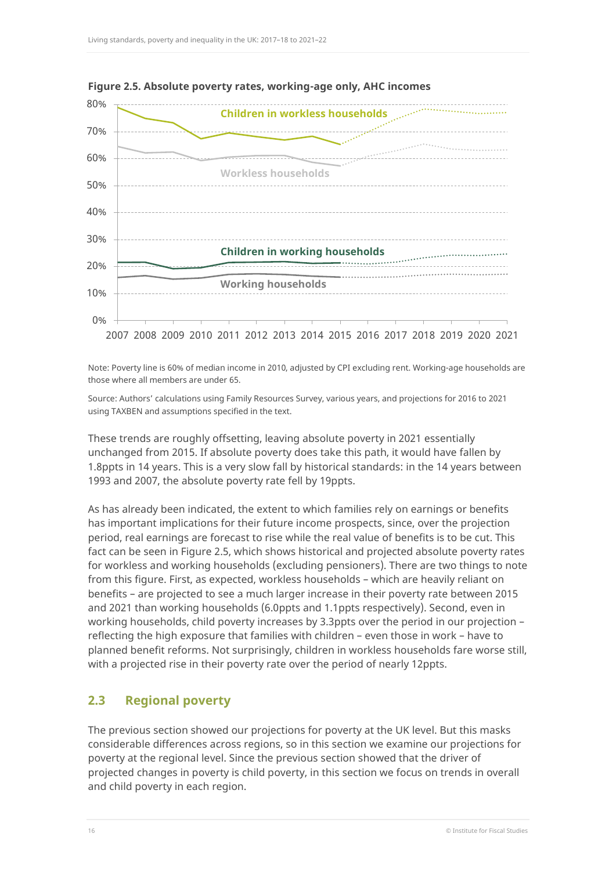

<span id="page-16-1"></span>**Figure 2.5. Absolute poverty rates, working-age only, AHC incomes**

Note: Poverty line is 60% of median income in 2010, adjusted by CPI excluding rent. Working-age households are those where all members are under 65.

Source: Authors' calculations using Family Resources Survey, various years, and projections for 2016 to 2021 using TAXBEN and assumptions specified in the text.

These trends are roughly offsetting, leaving absolute poverty in 2021 essentially unchanged from 2015. If absolute poverty does take this path, it would have fallen by 1.8ppts in 14 years. This is a very slow fall by historical standards: in the 14 years between 1993 and 2007, the absolute poverty rate fell by 19ppts.

As has already been indicated, the extent to which families rely on earnings or benefits has important implications for their future income prospects, since, over the projection period, real earnings are forecast to rise while the real value of benefits is to be cut. This fact can be seen in [Figure 2.5,](#page-16-1) which shows historical and projected absolute poverty rates for workless and working households (excluding pensioners). There are two things to note from this figure. First, as expected, workless households – which are heavily reliant on benefits – are projected to see a much larger increase in their poverty rate between 2015 and 2021 than working households (6.0ppts and 1.1ppts respectively). Second, even in working households, child poverty increases by 3.3ppts over the period in our projection – reflecting the high exposure that families with children – even those in work – have to planned benefit reforms. Not surprisingly, children in workless households fare worse still, with a projected rise in their poverty rate over the period of nearly 12ppts.

## <span id="page-16-0"></span>**2.3 Regional poverty**

The previous section showed our projections for poverty at the UK level. But this masks considerable differences across regions, so in this section we examine our projections for poverty at the regional level. Since the previous section showed that the driver of projected changes in poverty is child poverty, in this section we focus on trends in overall and child poverty in each region.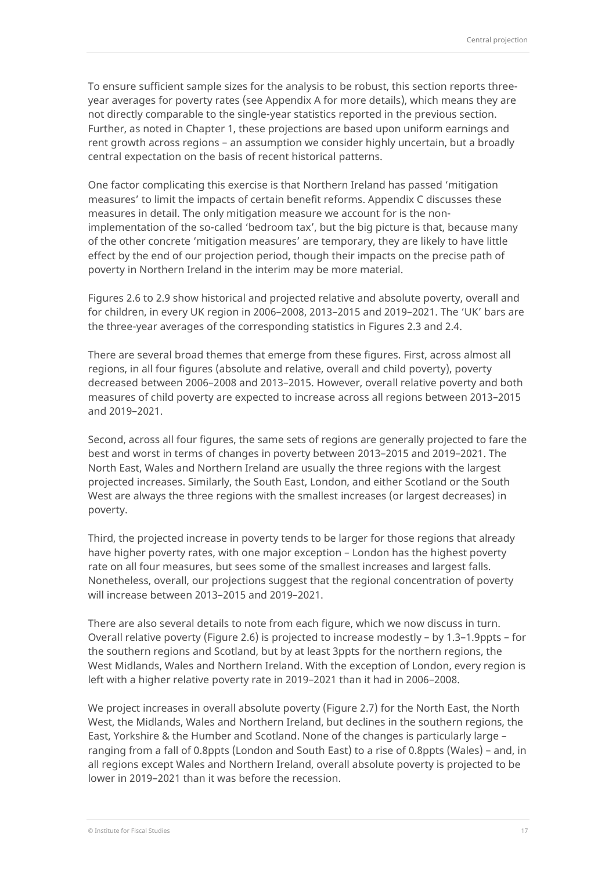To ensure sufficient sample sizes for the analysis to be robust, this section reports threeyear averages for poverty rates (see Appendix A for more details), which means they are not directly comparable to the single-year statistics reported in the previous section. Further, as noted in Chapter 1, these projections are based upon uniform earnings and rent growth across regions – an assumption we consider highly uncertain, but a broadly central expectation on the basis of recent historical patterns.

One factor complicating this exercise is that Northern Ireland has passed 'mitigation measures' to limit the impacts of certain benefit reforms. [Appendix C](#page-34-0) discusses these measures in detail. The only mitigation measure we account for is the nonimplementation of the so-called 'bedroom tax', but the big picture is that, because many of the other concrete 'mitigation measures' are temporary, they are likely to have little effect by the end of our projection period, though their impacts on the precise path of poverty in Northern Ireland in the interim may be more material.

Figures 2.6 to 2.9 show historical and projected relative and absolute poverty, overall and for children, in every UK region in 2006–2008, 2013–2015 and 2019–2021. The 'UK' bars are the three-year averages of the corresponding statistics in Figures 2.3 and 2.4.

There are several broad themes that emerge from these figures. First, across almost all regions, in all four figures (absolute and relative, overall and child poverty), poverty decreased between 2006–2008 and 2013–2015. However, overall relative poverty and both measures of child poverty are expected to increase across all regions between 2013–2015 and 2019–2021.

Second, across all four figures, the same sets of regions are generally projected to fare the best and worst in terms of changes in poverty between 2013–2015 and 2019–2021. The North East, Wales and Northern Ireland are usually the three regions with the largest projected increases. Similarly, the South East, London, and either Scotland or the South West are always the three regions with the smallest increases (or largest decreases) in poverty.

Third, the projected increase in poverty tends to be larger for those regions that already have higher poverty rates, with one major exception – London has the highest poverty rate on all four measures, but sees some of the smallest increases and largest falls. Nonetheless, overall, our projections suggest that the regional concentration of poverty will increase between 2013–2015 and 2019–2021.

There are also several details to note from each figure, which we now discuss in turn. Overall relative poverty [\(Figure 2.6\)](#page-18-0) is projected to increase modestly – by 1.3–1.9ppts – for the southern regions and Scotland, but by at least 3ppts for the northern regions, the West Midlands, Wales and Northern Ireland. With the exception of London, every region is left with a higher relative poverty rate in 2019–2021 than it had in 2006–2008.

We project increases in overall absolute poverty [\(Figure 2.7\)](#page-18-1) for the North East, the North West, the Midlands, Wales and Northern Ireland, but declines in the southern regions, the East, Yorkshire & the Humber and Scotland. None of the changes is particularly large – ranging from a fall of 0.8ppts (London and South East) to a rise of 0.8ppts (Wales) – and, in all regions except Wales and Northern Ireland, overall absolute poverty is projected to be lower in 2019–2021 than it was before the recession.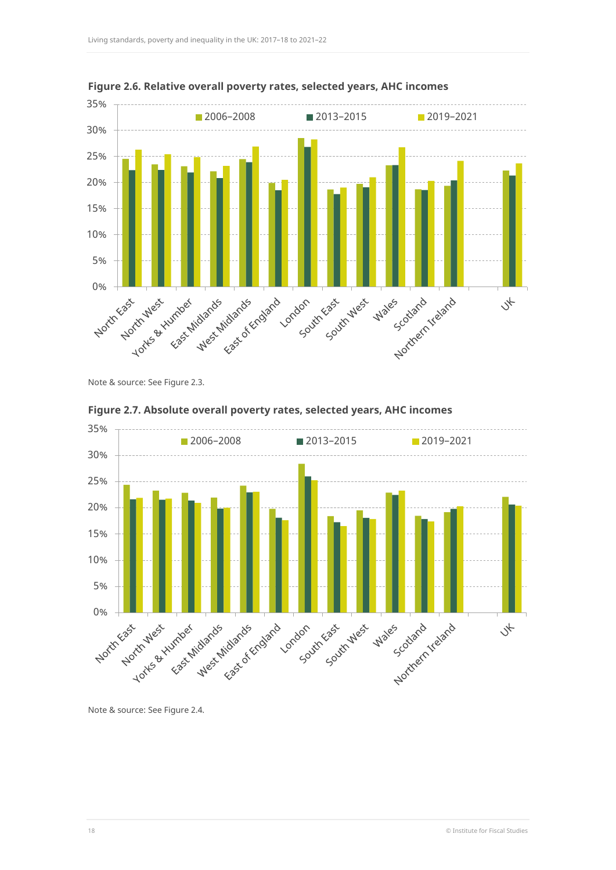

<span id="page-18-0"></span>**Figure 2.6. Relative overall poverty rates, selected years, AHC incomes**

Note & source: Se[e Figure 2.3.](#page-14-0)



### <span id="page-18-1"></span>**Figure 2.7. Absolute overall poverty rates, selected years, AHC incomes**

Note & source: Se[e Figure 2.4.](#page-15-0)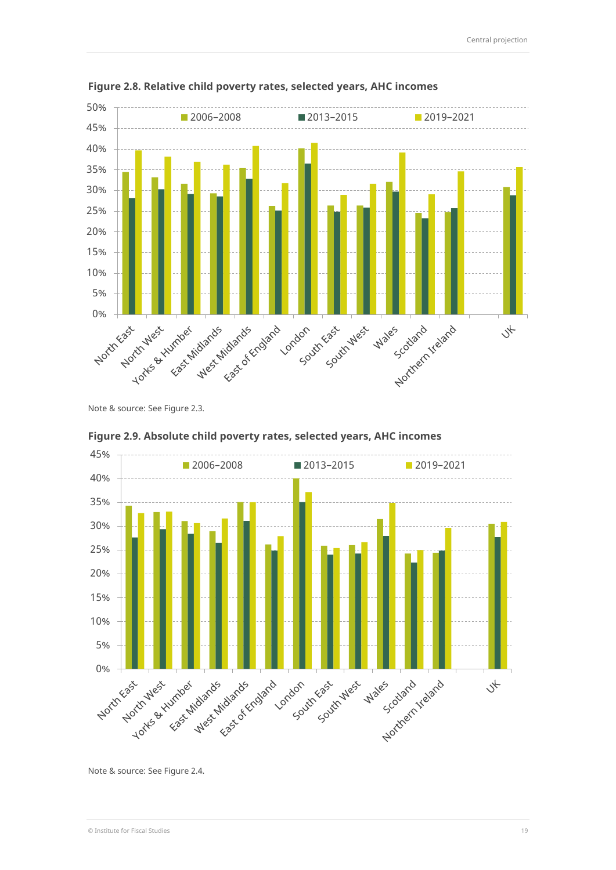

<span id="page-19-0"></span>**Figure 2.8. Relative child poverty rates, selected years, AHC incomes**

Note & source: Se[e Figure 2.3.](#page-14-0)



<span id="page-19-1"></span>

Note & source: Se[e Figure 2.4.](#page-15-0)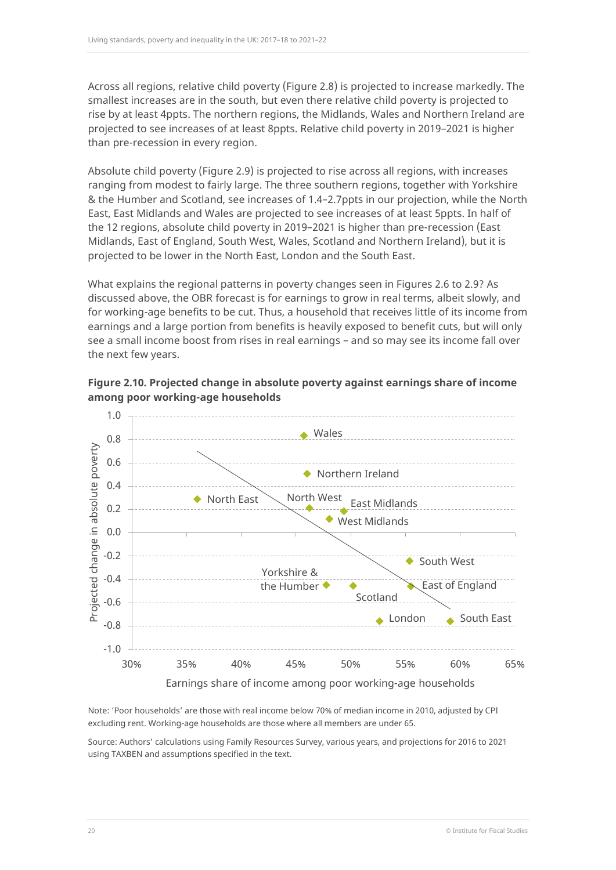Across all regions, relative child poverty [\(Figure 2.8\)](#page-19-0) is projected to increase markedly. The smallest increases are in the south, but even there relative child poverty is projected to rise by at least 4ppts. The northern regions, the Midlands, Wales and Northern Ireland are projected to see increases of at least 8ppts. Relative child poverty in 2019–2021 is higher than pre-recession in every region.

Absolute child poverty [\(Figure 2.9\)](#page-19-1) is projected to rise across all regions, with increases ranging from modest to fairly large. The three southern regions, together with Yorkshire & the Humber and Scotland, see increases of 1.4–2.7ppts in our projection, while the North East, East Midlands and Wales are projected to see increases of at least 5ppts. In half of the 12 regions, absolute child poverty in 2019–2021 is higher than pre-recession (East Midlands, East of England, South West, Wales, Scotland and Northern Ireland), but it is projected to be lower in the North East, London and the South East.

What explains the regional patterns in poverty changes seen in Figures 2.6 to 2.9? As discussed above, the OBR forecast is for earnings to grow in real terms, albeit slowly, and for working-age benefits to be cut. Thus, a household that receives little of its income from earnings and a large portion from benefits is heavily exposed to benefit cuts, but will only see a small income boost from rises in real earnings – and so may see its income fall over the next few years.

<span id="page-20-0"></span>



Note: 'Poor households' are those with real income below 70% of median income in 2010, adjusted by CPI excluding rent. Working-age households are those where all members are under 65.

Source: Authors' calculations using Family Resources Survey, various years, and projections for 2016 to 2021 using TAXBEN and assumptions specified in the text.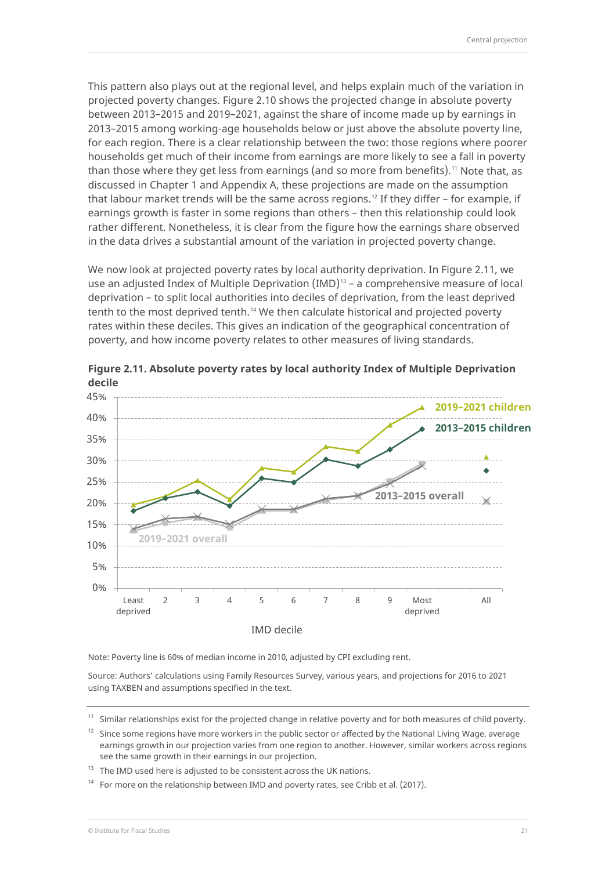This pattern also plays out at the regional level, and helps explain much of the variation in projected poverty changes. [Figure 2.10](#page-20-0) shows the projected change in absolute poverty between 2013–2015 and 2019–2021, against the share of income made up by earnings in 2013–2015 among working-age households below or just above the absolute poverty line, for each region. There is a clear relationship between the two: those regions where poorer households get much of their income from earnings are more likely to see a fall in poverty than those where they get less from earnings (and so more from benefits).<sup>[11](#page-21-1)</sup> Note that, as discussed in Chapter [1](#page-8-0) and [Appendix A,](#page-31-0) these projections are made on the assumption that labour market trends will be the same across regions.<sup>[12](#page-21-2)</sup> If they differ  $-$  for example, if earnings growth is faster in some regions than others – then this relationship could look rather different. Nonetheless, it is clear from the figure how the earnings share observed in the data drives a substantial amount of the variation in projected poverty change.

We now look at projected poverty rates by local authority deprivation. I[n Figure 2.11,](#page-21-0) we use an adjusted Index of Multiple Deprivation  $(IMD)^{13}$  $(IMD)^{13}$  $(IMD)^{13}$  – a comprehensive measure of local deprivation – to split local authorities into deciles of deprivation, from the least deprived tenth to the most deprived tenth.<sup>[14](#page-21-4)</sup> We then calculate historical and projected poverty rates within these deciles. This gives an indication of the geographical concentration of poverty, and how income poverty relates to other measures of living standards.



<span id="page-21-0"></span>**Figure 2.11. Absolute poverty rates by local authority Index of Multiple Deprivation decile**

Note: Poverty line is 60% of median income in 2010, adjusted by CPI excluding rent.

Source: Authors' calculations using Family Resources Survey, various years, and projections for 2016 to 2021 using TAXBEN and assumptions specified in the text.

<span id="page-21-1"></span> $11$  Similar relationships exist for the projected change in relative poverty and for both measures of child poverty.

<span id="page-21-2"></span> $12$  Since some regions have more workers in the public sector or affected by the National Living Wage, average earnings growth in our projection varies from one region to another. However, similar workers across regions see the same growth in their earnings in our projection.

<span id="page-21-3"></span> $13$  The IMD used here is adjusted to be consistent across the UK nations.

<span id="page-21-4"></span>For more on the relationship between IMD and poverty rates, see Cribb et al. (2017).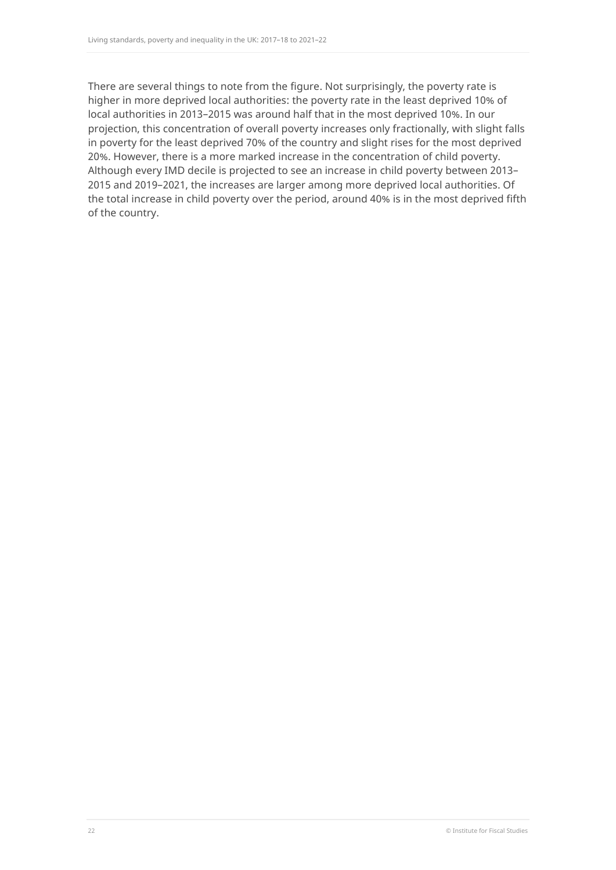There are several things to note from the figure. Not surprisingly, the poverty rate is higher in more deprived local authorities: the poverty rate in the least deprived 10% of local authorities in 2013–2015 was around half that in the most deprived 10%. In our projection, this concentration of overall poverty increases only fractionally, with slight falls in poverty for the least deprived 70% of the country and slight rises for the most deprived 20%. However, there is a more marked increase in the concentration of child poverty. Although every IMD decile is projected to see an increase in child poverty between 2013– 2015 and 2019–2021, the increases are larger among more deprived local authorities. Of the total increase in child poverty over the period, around 40% is in the most deprived fifth of the country.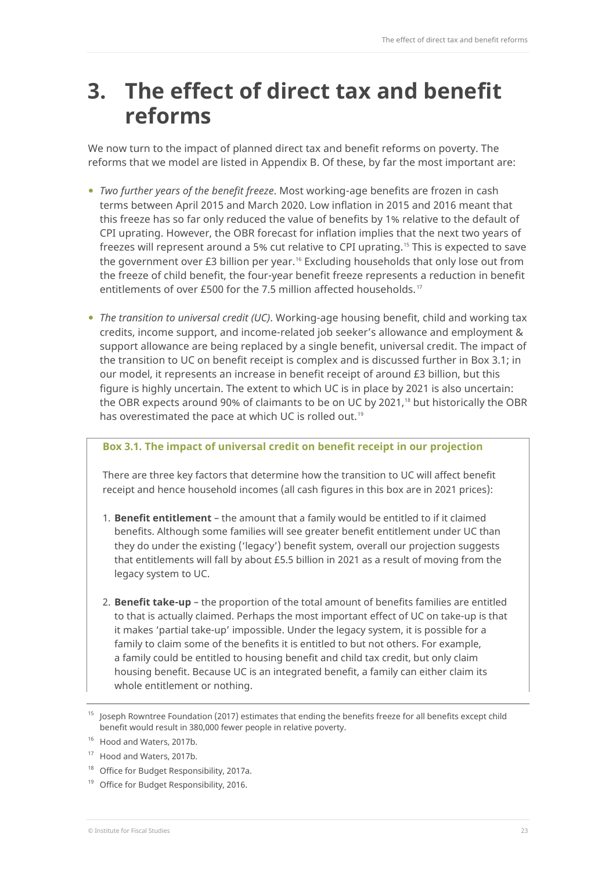## <span id="page-23-0"></span>**3. The effect of direct tax and benefit reforms**

We now turn to the impact of planned direct tax and benefit reforms on poverty. The reforms that we model are listed in [Appendix B.](#page-33-0) Of these, by far the most important are:

- *Two further years of the benefit freeze*. Most working-age benefits are frozen in cash terms between April 2015 and March 2020. Low inflation in 2015 and 2016 meant that this freeze has so far only reduced the value of benefits by 1% relative to the default of CPI uprating. However, the OBR forecast for inflation implies that the next two years of freezes will represent around a 5% cut relative to CPI uprating. [15](#page-23-2) This is expected to save the government over £3 billion per year.<sup>[16](#page-23-3)</sup> Excluding households that only lose out from the freeze of child benefit, the four-year benefit freeze represents a reduction in benefit entitlements of over £500 for the 7.5 million affected households. [17](#page-23-4)
- *The transition to universal credit (UC)*. Working-age housing benefit, child and working tax credits, income support, and income-related job seeker's allowance and employment & support allowance are being replaced by a single benefit, universal credit. The impact of the transition to UC on benefit receipt is complex and is discussed further in [Box 3.1;](#page-23-1) in our model, it represents an increase in benefit receipt of around £3 billion, but this figure is highly uncertain. The extent to which UC is in place by 2021 is also uncertain: the OBR expects around 90% of claimants to be on UC by 2021, [18](#page-23-5) but historically the OBR has overestimated the pace at which UC is rolled out. [19](#page-23-6)

### <span id="page-23-1"></span>**Box 3.1. The impact of universal credit on benefit receipt in our projection**

There are three key factors that determine how the transition to UC will affect benefit receipt and hence household incomes (all cash figures in this box are in 2021 prices):

- 1. **Benefit entitlement** the amount that a family would be entitled to if it claimed benefits. Although some families will see greater benefit entitlement under UC than they do under the existing ('legacy') benefit system, overall our projection suggests that entitlements will fall by about £5.5 billion in 2021 as a result of moving from the legacy system to UC.
- 2. **Benefit take-up** the proportion of the total amount of benefits families are entitled to that is actually claimed. Perhaps the most important effect of UC on take-up is that it makes 'partial take-up' impossible. Under the legacy system, it is possible for a family to claim some of the benefits it is entitled to but not others. For example, a family could be entitled to housing benefit and child tax credit, but only claim housing benefit. Because UC is an integrated benefit, a family can either claim its whole entitlement or nothing.

<span id="page-23-2"></span><sup>15</sup> Joseph Rowntree Foundation (2017) estimates that ending the benefits freeze for all benefits except child benefit would result in 380,000 fewer people in relative poverty.

<span id="page-23-3"></span><sup>&</sup>lt;sup>16</sup> Hood and Waters, 2017b.

<span id="page-23-4"></span><sup>&</sup>lt;sup>17</sup> Hood and Waters, 2017b.

<span id="page-23-5"></span><sup>&</sup>lt;sup>18</sup> Office for Budget Responsibility, 2017a.

<span id="page-23-6"></span><sup>&</sup>lt;sup>19</sup> Office for Budget Responsibility, 2016.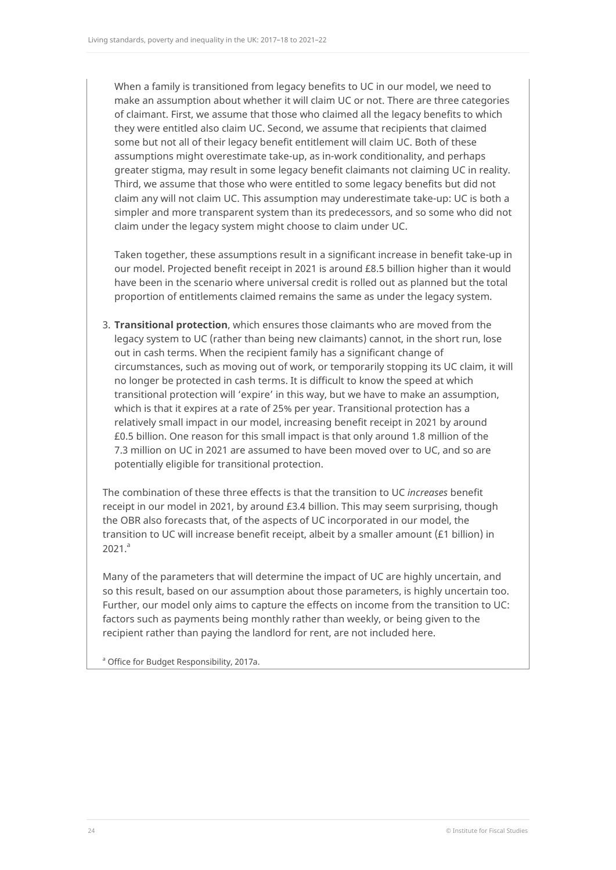When a family is transitioned from legacy benefits to UC in our model, we need to make an assumption about whether it will claim UC or not. There are three categories of claimant. First, we assume that those who claimed all the legacy benefits to which they were entitled also claim UC. Second, we assume that recipients that claimed some but not all of their legacy benefit entitlement will claim UC. Both of these assumptions might overestimate take-up, as in-work conditionality, and perhaps greater stigma, may result in some legacy benefit claimants not claiming UC in reality. Third, we assume that those who were entitled to some legacy benefits but did not claim any will not claim UC. This assumption may underestimate take-up: UC is both a simpler and more transparent system than its predecessors, and so some who did not claim under the legacy system might choose to claim under UC.

Taken together, these assumptions result in a significant increase in benefit take-up in our model. Projected benefit receipt in 2021 is around £8.5 billion higher than it would have been in the scenario where universal credit is rolled out as planned but the total proportion of entitlements claimed remains the same as under the legacy system.

3. **Transitional protection**, which ensures those claimants who are moved from the legacy system to UC (rather than being new claimants) cannot, in the short run, lose out in cash terms. When the recipient family has a significant change of circumstances, such as moving out of work, or temporarily stopping its UC claim, it will no longer be protected in cash terms. It is difficult to know the speed at which transitional protection will 'expire' in this way, but we have to make an assumption, which is that it expires at a rate of 25% per year. Transitional protection has a relatively small impact in our model, increasing benefit receipt in 2021 by around £0.5 billion. One reason for this small impact is that only around 1.8 million of the 7.3 million on UC in 2021 are assumed to have been moved over to UC, and so are potentially eligible for transitional protection.

The combination of these three effects is that the transition to UC *increases* benefit receipt in our model in 2021, by around £3.4 billion. This may seem surprising, though the OBR also forecasts that, of the aspects of UC incorporated in our model, the transition to UC will increase benefit receipt, albeit by a smaller amount (£1 billion) in  $2021.<sup>a</sup>$ 

Many of the parameters that will determine the impact of UC are highly uncertain, and so this result, based on our assumption about those parameters, is highly uncertain too. Further, our model only aims to capture the effects on income from the transition to UC: factors such as payments being monthly rather than weekly, or being given to the recipient rather than paying the landlord for rent, are not included here.

<sup>a</sup> Office for Budget Responsibility, 2017a.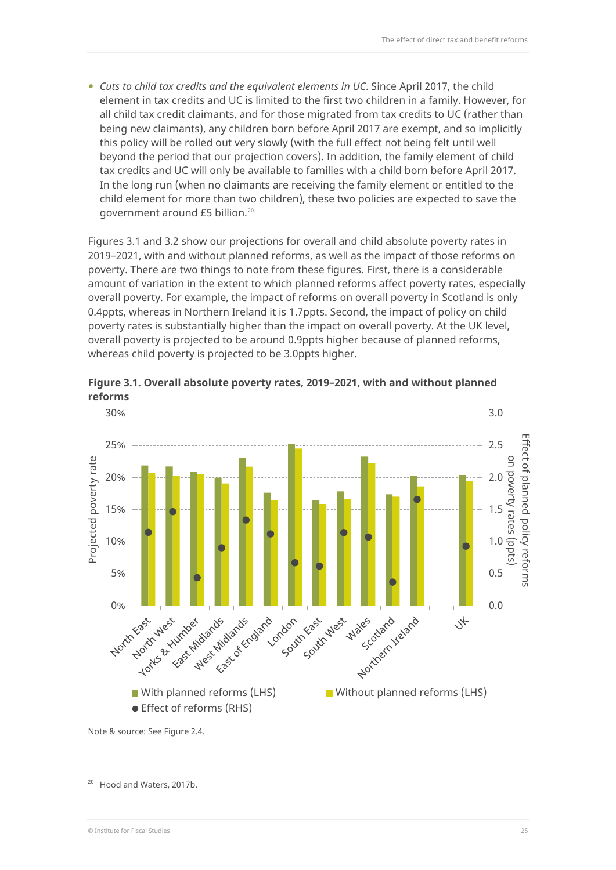*Cuts to child tax credits and the equivalent elements in UC*. Since April 2017, the child element in tax credits and UC is limited to the first two children in a family. However, for all child tax credit claimants, and for those migrated from tax credits to UC (rather than being new claimants), any children born before April 2017 are exempt, and so implicitly this policy will be rolled out very slowly (with the full effect not being felt until well beyond the period that our projection covers). In addition, the family element of child tax credits and UC will only be available to families with a child born before April 2017. In the long run (when no claimants are receiving the family element or entitled to the child element for more than two children), these two policies are expected to save the government around £5 billion.[20](#page-25-0)

Figures 3.1 and 3.2 show our projections for overall and child absolute poverty rates in 2019–2021, with and without planned reforms, as well as the impact of those reforms on poverty. There are two things to note from these figures. First, there is a considerable amount of variation in the extent to which planned reforms affect poverty rates, especially overall poverty. For example, the impact of reforms on overall poverty in Scotland is only 0.4ppts, whereas in Northern Ireland it is 1.7ppts. Second, the impact of policy on child poverty rates is substantially higher than the impact on overall poverty. At the UK level, overall poverty is projected to be around 0.9ppts higher because of planned reforms, whereas child poverty is projected to be 3.0ppts higher.



**Figure 3.1. Overall absolute poverty rates, 2019–2021, with and without planned reforms**

Note & source: Se[e Figure 2.4.](#page-15-0)

<span id="page-25-0"></span><sup>20</sup> Hood and Waters, 2017b.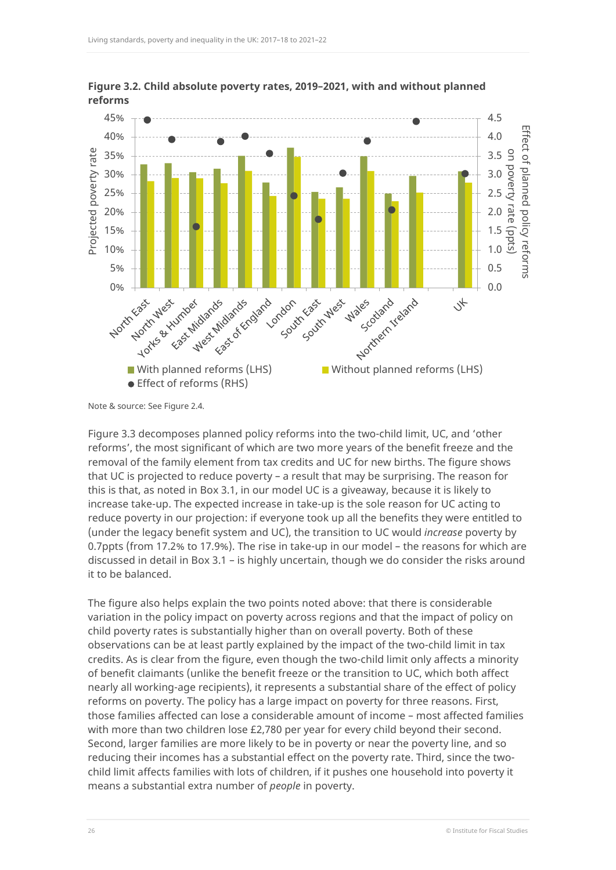

**Figure 3.2. Child absolute poverty rates, 2019–2021, with and without planned reforms**

Note & source: Se[e Figure 2.4.](#page-15-0)

[Figure 3.3](#page-27-0) decomposes planned policy reforms into the two-child limit, UC, and 'other reforms', the most significant of which are two more years of the benefit freeze and the removal of the family element from tax credits and UC for new births. The figure shows that UC is projected to reduce poverty – a result that may be surprising. The reason for this is that, as noted in [Box 3.1,](#page-23-1) in our model UC is a giveaway, because it is likely to increase take-up. The expected increase in take-up is the sole reason for UC acting to reduce poverty in our projection: if everyone took up all the benefits they were entitled to (under the legacy benefit system and UC), the transition to UC would *increase* poverty by 0.7ppts (from 17.2% to 17.9%). The rise in take-up in our model – the reasons for which are discussed in detail in [Box 3.1](#page-23-1) – is highly uncertain, though we do consider the risks around it to be balanced.

The figure also helps explain the two points noted above: that there is considerable variation in the policy impact on poverty across regions and that the impact of policy on child poverty rates is substantially higher than on overall poverty. Both of these observations can be at least partly explained by the impact of the two-child limit in tax credits. As is clear from the figure, even though the two-child limit only affects a minority of benefit claimants (unlike the benefit freeze or the transition to UC, which both affect nearly all working-age recipients), it represents a substantial share of the effect of policy reforms on poverty. The policy has a large impact on poverty for three reasons. First, those families affected can lose a considerable amount of income – most affected families with more than two children lose £2,780 per year for every child beyond their second. Second, larger families are more likely to be in poverty or near the poverty line, and so reducing their incomes has a substantial effect on the poverty rate. Third, since the twochild limit affects families with lots of children, if it pushes one household into poverty it means a substantial extra number of *people* in poverty.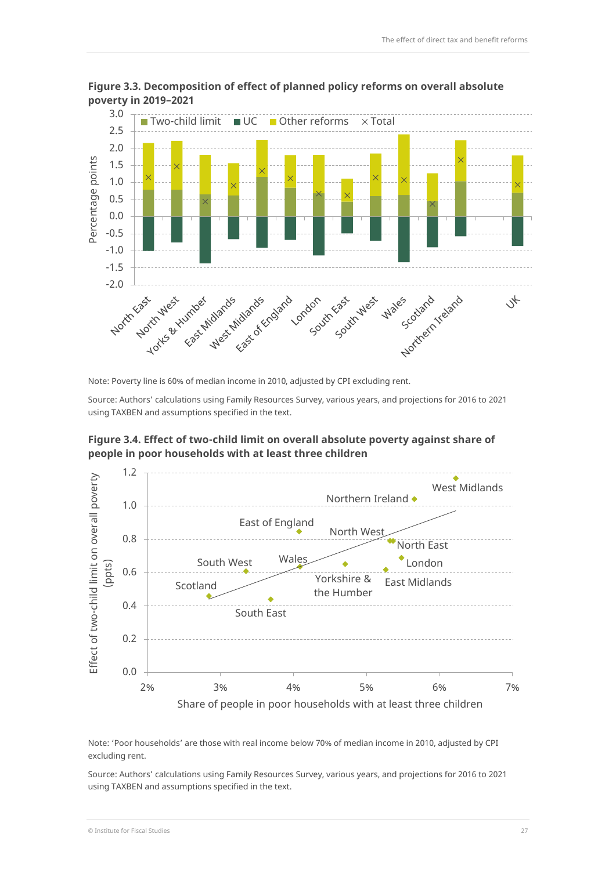

<span id="page-27-0"></span>**Figure 3.3. Decomposition of effect of planned policy reforms on overall absolute poverty in 2019–2021**

Note: Poverty line is 60% of median income in 2010, adjusted by CPI excluding rent.

Source: Authors' calculations using Family Resources Survey, various years, and projections for 2016 to 2021 using TAXBEN and assumptions specified in the text.



<span id="page-27-1"></span>



Note: 'Poor households' are those with real income below 70% of median income in 2010, adjusted by CPI excluding rent.

Source: Authors' calculations using Family Resources Survey, various years, and projections for 2016 to 2021 using TAXBEN and assumptions specified in the text.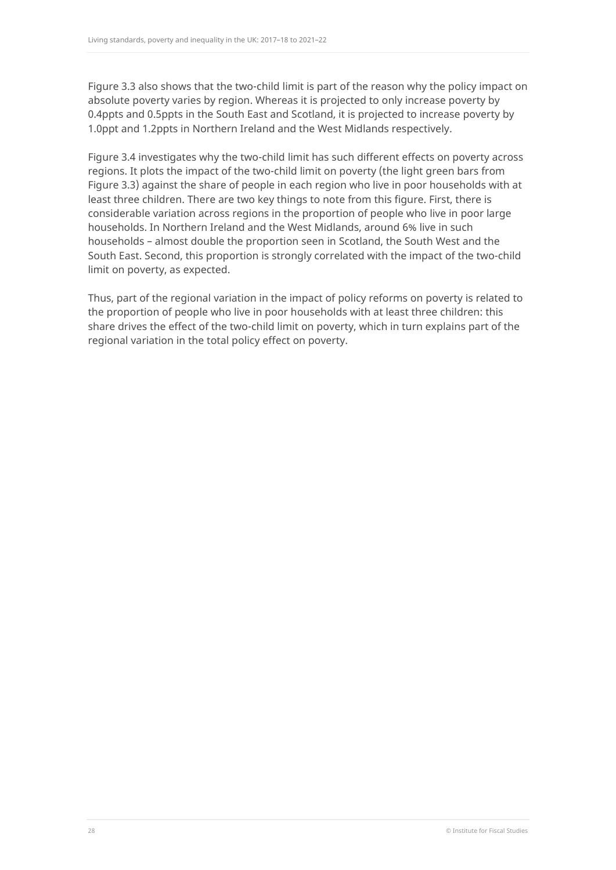[Figure 3.3](#page-27-0) also shows that the two-child limit is part of the reason why the policy impact on absolute poverty varies by region. Whereas it is projected to only increase poverty by 0.4ppts and 0.5ppts in the South East and Scotland, it is projected to increase poverty by 1.0ppt and 1.2ppts in Northern Ireland and the West Midlands respectively.

[Figure 3.4](#page-27-1) investigates why the two-child limit has such different effects on poverty across regions. It plots the impact of the two-child limit on poverty (the light green bars from [Figure 3.3\)](#page-27-0) against the share of people in each region who live in poor households with at least three children. There are two key things to note from this figure. First, there is considerable variation across regions in the proportion of people who live in poor large households. In Northern Ireland and the West Midlands, around 6% live in such households – almost double the proportion seen in Scotland, the South West and the South East. Second, this proportion is strongly correlated with the impact of the two-child limit on poverty, as expected.

Thus, part of the regional variation in the impact of policy reforms on poverty is related to the proportion of people who live in poor households with at least three children: this share drives the effect of the two-child limit on poverty, which in turn explains part of the regional variation in the total policy effect on poverty.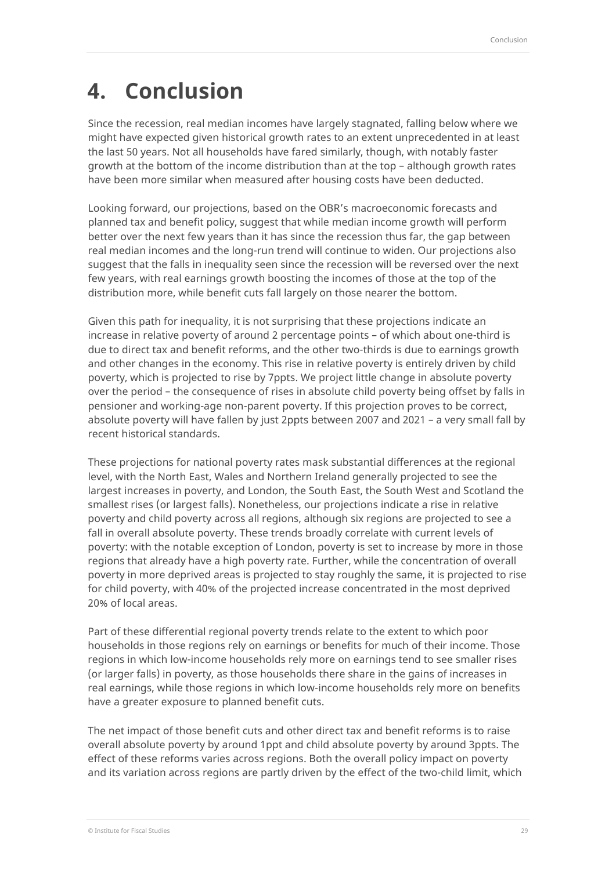# <span id="page-29-0"></span>**4. Conclusion**

Since the recession, real median incomes have largely stagnated, falling below where we might have expected given historical growth rates to an extent unprecedented in at least the last 50 years. Not all households have fared similarly, though, with notably faster growth at the bottom of the income distribution than at the top – although growth rates have been more similar when measured after housing costs have been deducted.

Looking forward, our projections, based on the OBR's macroeconomic forecasts and planned tax and benefit policy, suggest that while median income growth will perform better over the next few years than it has since the recession thus far, the gap between real median incomes and the long-run trend will continue to widen. Our projections also suggest that the falls in inequality seen since the recession will be reversed over the next few years, with real earnings growth boosting the incomes of those at the top of the distribution more, while benefit cuts fall largely on those nearer the bottom.

Given this path for inequality, it is not surprising that these projections indicate an increase in relative poverty of around 2 percentage points – of which about one-third is due to direct tax and benefit reforms, and the other two-thirds is due to earnings growth and other changes in the economy. This rise in relative poverty is entirely driven by child poverty, which is projected to rise by 7ppts. We project little change in absolute poverty over the period – the consequence of rises in absolute child poverty being offset by falls in pensioner and working-age non-parent poverty. If this projection proves to be correct, absolute poverty will have fallen by just 2ppts between 2007 and 2021 – a very small fall by recent historical standards.

These projections for national poverty rates mask substantial differences at the regional level, with the North East, Wales and Northern Ireland generally projected to see the largest increases in poverty, and London, the South East, the South West and Scotland the smallest rises (or largest falls). Nonetheless, our projections indicate a rise in relative poverty and child poverty across all regions, although six regions are projected to see a fall in overall absolute poverty. These trends broadly correlate with current levels of poverty: with the notable exception of London, poverty is set to increase by more in those regions that already have a high poverty rate. Further, while the concentration of overall poverty in more deprived areas is projected to stay roughly the same, it is projected to rise for child poverty, with 40% of the projected increase concentrated in the most deprived 20% of local areas.

Part of these differential regional poverty trends relate to the extent to which poor households in those regions rely on earnings or benefits for much of their income. Those regions in which low-income households rely more on earnings tend to see smaller rises (or larger falls) in poverty, as those households there share in the gains of increases in real earnings, while those regions in which low-income households rely more on benefits have a greater exposure to planned benefit cuts.

The net impact of those benefit cuts and other direct tax and benefit reforms is to raise overall absolute poverty by around 1ppt and child absolute poverty by around 3ppts. The effect of these reforms varies across regions. Both the overall policy impact on poverty and its variation across regions are partly driven by the effect of the two-child limit, which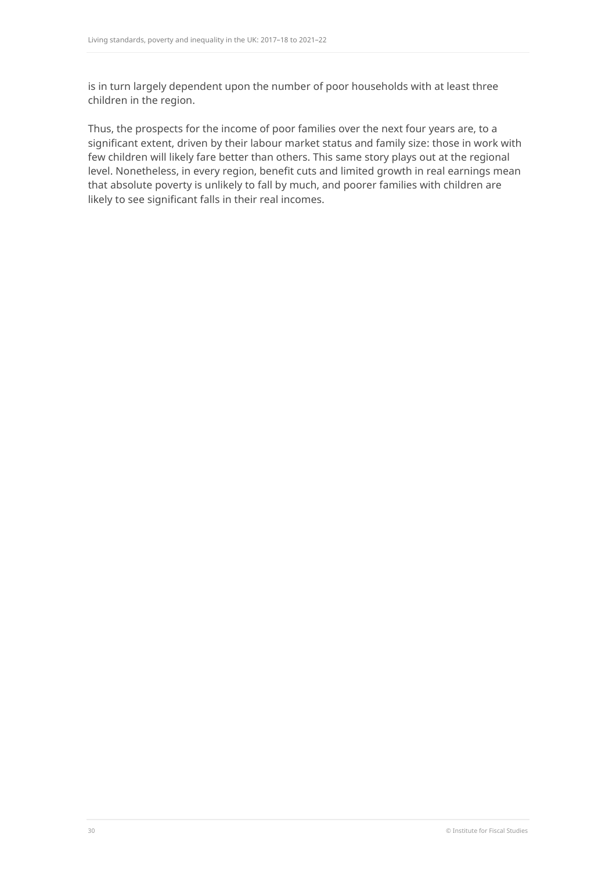is in turn largely dependent upon the number of poor households with at least three children in the region.

Thus, the prospects for the income of poor families over the next four years are, to a significant extent, driven by their labour market status and family size: those in work with few children will likely fare better than others. This same story plays out at the regional level. Nonetheless, in every region, benefit cuts and limited growth in real earnings mean that absolute poverty is unlikely to fall by much, and poorer families with children are likely to see significant falls in their real incomes.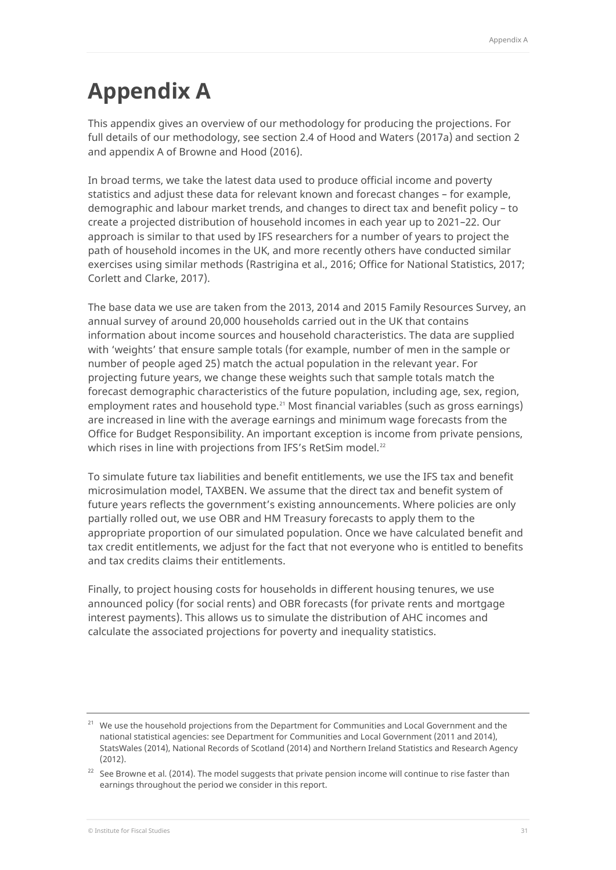# <span id="page-31-0"></span>**Appendix A**

This appendix gives an overview of our methodology for producing the projections. For full details of our methodology, see section 2.4 of Hood and Waters (2017a) and section 2 and appendix A of Browne and Hood (2016).

In broad terms, we take the latest data used to produce official income and poverty statistics and adjust these data for relevant known and forecast changes – for example, demographic and labour market trends, and changes to direct tax and benefit policy – to create a projected distribution of household incomes in each year up to 2021–22. Our approach is similar to that used by IFS researchers for a number of years to project the path of household incomes in the UK, and more recently others have conducted similar exercises using similar methods (Rastrigina et al., 2016; Office for National Statistics, 2017; Corlett and Clarke, 2017).

The base data we use are taken from the 2013, 2014 and 2015 Family Resources Survey, an annual survey of around 20,000 households carried out in the UK that contains information about income sources and household characteristics. The data are supplied with 'weights' that ensure sample totals (for example, number of men in the sample or number of people aged 25) match the actual population in the relevant year. For projecting future years, we change these weights such that sample totals match the forecast demographic characteristics of the future population, including age, sex, region, employment rates and household type.<sup>[21](#page-31-1)</sup> Most financial variables (such as gross earnings) are increased in line with the average earnings and minimum wage forecasts from the Office for Budget Responsibility. An important exception is income from private pensions, which rises in line with projections from IFS's RetSim model.<sup>[22](#page-31-2)</sup>

To simulate future tax liabilities and benefit entitlements, we use the IFS tax and benefit microsimulation model, TAXBEN. We assume that the direct tax and benefit system of future years reflects the government's existing announcements. Where policies are only partially rolled out, we use OBR and HM Treasury forecasts to apply them to the appropriate proportion of our simulated population. Once we have calculated benefit and tax credit entitlements, we adjust for the fact that not everyone who is entitled to benefits and tax credits claims their entitlements.

Finally, to project housing costs for households in different housing tenures, we use announced policy (for social rents) and OBR forecasts (for private rents and mortgage interest payments). This allows us to simulate the distribution of AHC incomes and calculate the associated projections for poverty and inequality statistics.

<span id="page-31-1"></span> $21$  We use the household projections from the Department for Communities and Local Government and the national statistical agencies: see Department for Communities and Local Government (2011 and 2014), StatsWales (2014), National Records of Scotland (2014) and Northern Ireland Statistics and Research Agency (2012).

<span id="page-31-2"></span> $22$  See Browne et al. (2014). The model suggests that private pension income will continue to rise faster than earnings throughout the period we consider in this report.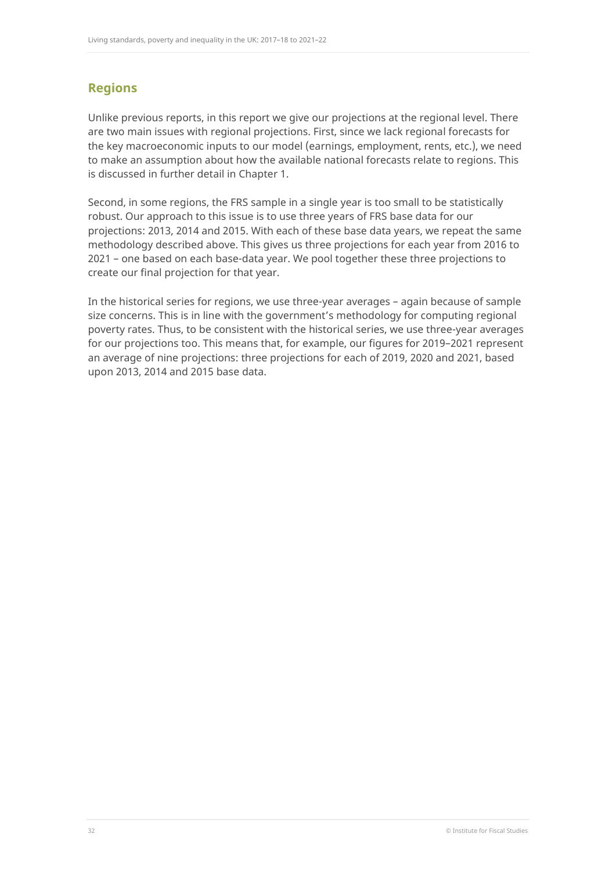## **Regions**

Unlike previous reports, in this report we give our projections at the regional level. There are two main issues with regional projections. First, since we lack regional forecasts for the key macroeconomic inputs to our model (earnings, employment, rents, etc.), we need to make an assumption about how the available national forecasts relate to regions. This is discussed in further detail in Chapter 1.

Second, in some regions, the FRS sample in a single year is too small to be statistically robust. Our approach to this issue is to use three years of FRS base data for our projections: 2013, 2014 and 2015. With each of these base data years, we repeat the same methodology described above. This gives us three projections for each year from 2016 to 2021 – one based on each base-data year. We pool together these three projections to create our final projection for that year.

In the historical series for regions, we use three-year averages – again because of sample size concerns. This is in line with the government's methodology for computing regional poverty rates. Thus, to be consistent with the historical series, we use three-year averages for our projections too. This means that, for example, our figures for 2019–2021 represent an average of nine projections: three projections for each of 2019, 2020 and 2021, based upon 2013, 2014 and 2015 base data.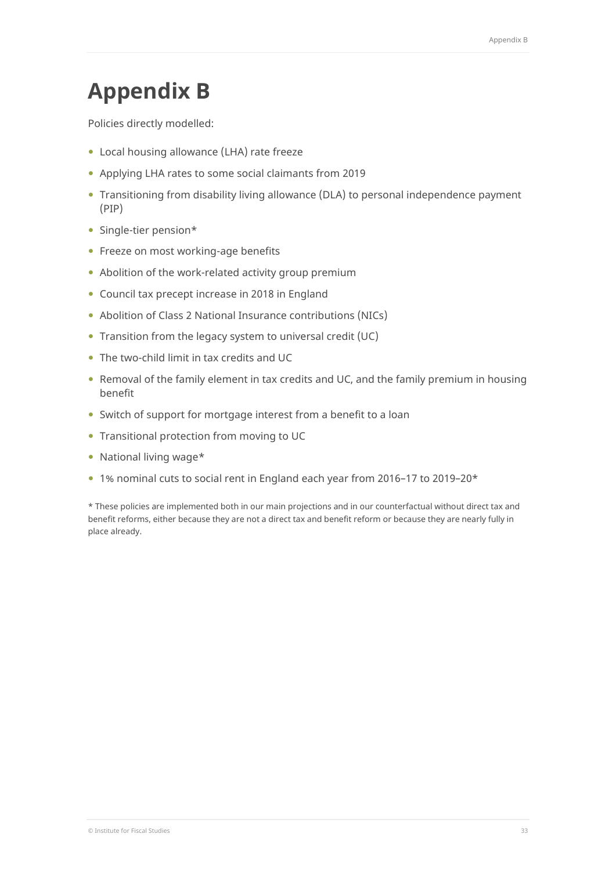## <span id="page-33-0"></span>**Appendix B**

Policies directly modelled:

- Local housing allowance (LHA) rate freeze
- Applying LHA rates to some social claimants from 2019
- Transitioning from disability living allowance (DLA) to personal independence payment (PIP)
- Single-tier pension\*
- Freeze on most working-age benefits
- Abolition of the work-related activity group premium
- Council tax precept increase in 2018 in England
- Abolition of Class 2 National Insurance contributions (NICs)
- Transition from the legacy system to universal credit (UC)
- The two-child limit in tax credits and UC
- Removal of the family element in tax credits and UC, and the family premium in housing benefit
- Switch of support for mortgage interest from a benefit to a loan
- Transitional protection from moving to UC
- National living wage\*
- 1% nominal cuts to social rent in England each year from 2016–17 to 2019–20\*

\* These policies are implemented both in our main projections and in our counterfactual without direct tax and benefit reforms, either because they are not a direct tax and benefit reform or because they are nearly fully in place already.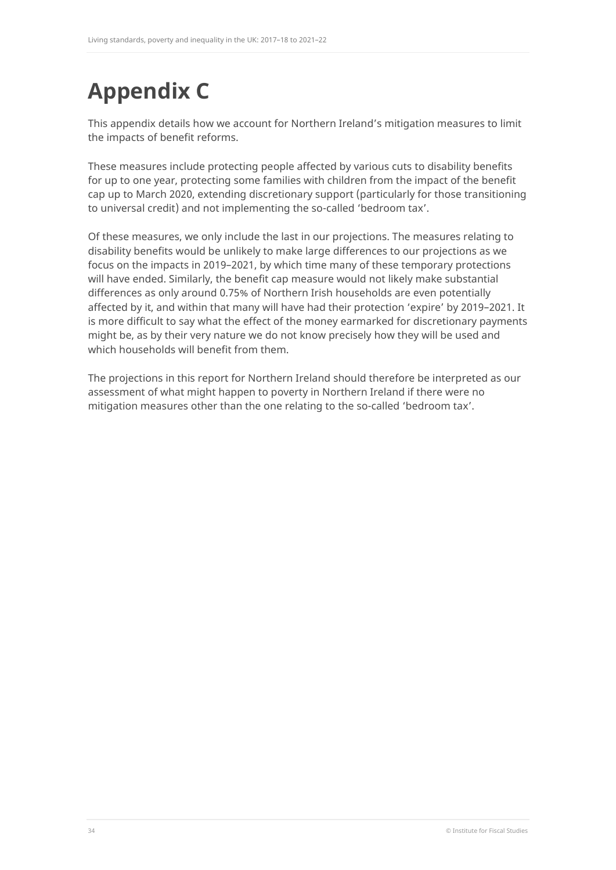# <span id="page-34-0"></span>**Appendix C**

This appendix details how we account for Northern Ireland's mitigation measures to limit the impacts of benefit reforms.

These measures include protecting people affected by various cuts to disability benefits for up to one year, protecting some families with children from the impact of the benefit cap up to March 2020, extending discretionary support (particularly for those transitioning to universal credit) and not implementing the so-called 'bedroom tax'.

Of these measures, we only include the last in our projections. The measures relating to disability benefits would be unlikely to make large differences to our projections as we focus on the impacts in 2019–2021, by which time many of these temporary protections will have ended. Similarly, the benefit cap measure would not likely make substantial differences as only around 0.75% of Northern Irish households are even potentially affected by it, and within that many will have had their protection 'expire' by 2019–2021. It is more difficult to say what the effect of the money earmarked for discretionary payments might be, as by their very nature we do not know precisely how they will be used and which households will benefit from them.

The projections in this report for Northern Ireland should therefore be interpreted as our assessment of what might happen to poverty in Northern Ireland if there were no mitigation measures other than the one relating to the so-called 'bedroom tax'.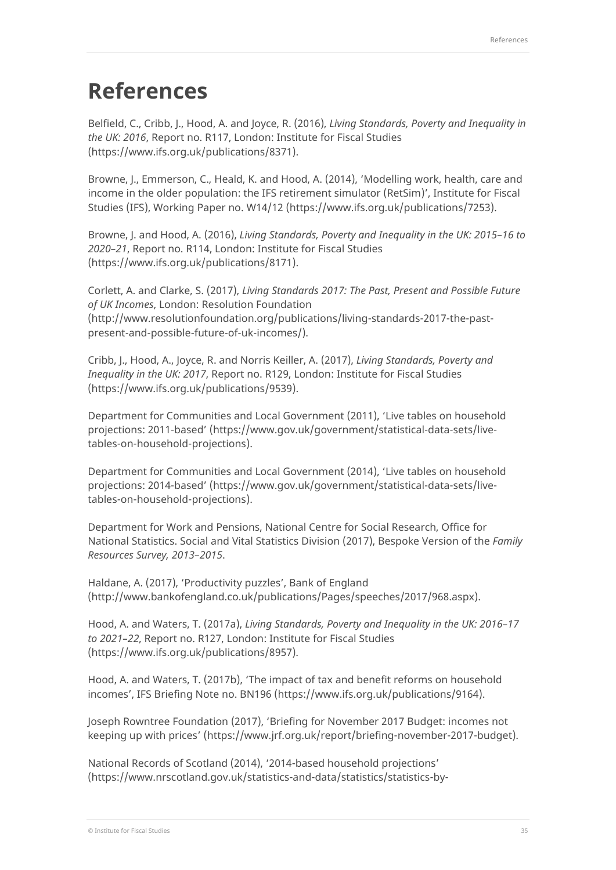## <span id="page-35-0"></span>**References**

Belfield, C., Cribb, J., Hood, A. and Joyce, R. (2016), *Living Standards, Poverty and Inequality in the UK: 2016*, Report no. R117, London: Institute for Fiscal Studies [\(https://www.ifs.org.uk/publications/8371\)](https://www.ifs.org.uk/publications/8371).

Browne, J., Emmerson, C., Heald, K. and Hood, A. (2014), 'Modelling work, health, care and income in the older population: the IFS retirement simulator (RetSim)', Institute for Fiscal Studies (IFS), Working Paper no. W14/12 [\(https://www.ifs.org.uk/publications/7253\)](https://www.ifs.org.uk/publications/7253).

Browne, J. and Hood, A. (2016), *Living Standards, Poverty and Inequality in the UK: 2015–16 to 2020–21*, Report no. R114, London: Institute for Fiscal Studies [\(https://www.ifs.org.uk/publications/8171\)](https://www.ifs.org.uk/publications/8171).

Corlett, A. and Clarke, S. (2017), *Living Standards 2017: The Past, Present and Possible Future of UK Incomes*, London: Resolution Foundation [\(http://www.resolutionfoundation.org/publications/living-standards-2017-the-past](http://www.resolutionfoundation.org/publications/living-standards-2017-the-past-present-and-possible-future-of-uk-incomes/)[present-and-possible-future-of-uk-incomes/\)](http://www.resolutionfoundation.org/publications/living-standards-2017-the-past-present-and-possible-future-of-uk-incomes/).

Cribb, J., Hood, A., Joyce, R. and Norris Keiller, A. (2017), *Living Standards, Poverty and Inequality in the UK: 2017*, Report no. R129, London: Institute for Fiscal Studies [\(https://www.ifs.org.uk/publications/9539\)](https://www.ifs.org.uk/publications/9539).

Department for Communities and Local Government (2011), 'Live tables on household projections: 2011-based' [\(https://www.gov.uk/government/statistical-data-sets/live](https://www.gov.uk/government/statistical-data-sets/live-tables-on-household-projections)[tables-on-household-projections\)](https://www.gov.uk/government/statistical-data-sets/live-tables-on-household-projections).

Department for Communities and Local Government (2014), 'Live tables on household projections: 2014-based' [\(https://www.gov.uk/government/statistical-data-sets/live](https://www.gov.uk/government/statistical-data-sets/live-tables-on-household-projections)[tables-on-household-projections\)](https://www.gov.uk/government/statistical-data-sets/live-tables-on-household-projections).

Department for Work and Pensions, National Centre for Social Research, Office for National Statistics. Social and Vital Statistics Division (2017), Bespoke Version of the *Family Resources Survey, 2013–2015*.

Haldane, A. (2017), 'Productivity puzzles', Bank of England [\(http://www.bankofengland.co.uk/publications/Pages/speeches/2017/968.aspx\)](http://www.bankofengland.co.uk/publications/Pages/speeches/2017/968.aspx).

Hood, A. and Waters, T. (2017a), *Living Standards, Poverty and Inequality in the UK: 2016–17 to 2021–22*, Report no. R127, London: Institute for Fiscal Studies [\(https://www.ifs.org.uk/publications/8957\)](https://www.ifs.org.uk/publications/8957).

Hood, A. and Waters, T. (2017b), 'The impact of tax and benefit reforms on household incomes', IFS Briefing Note no. BN196 [\(https://www.ifs.org.uk/publications/9164\)](https://www.ifs.org.uk/publications/9164).

Joseph Rowntree Foundation (2017), 'Briefing for November 2017 Budget: incomes not keeping up with prices' [\(https://www.jrf.org.uk/report/briefing-november-2017-budget\)](https://www.jrf.org.uk/report/briefing-november-2017-budget).

National Records of Scotland (2014), '2014-based household projections' [\(https://www.nrscotland.gov.uk/statistics-and-data/statistics/statistics-by-](https://www.nrscotland.gov.uk/statistics-and-data/statistics/statistics-by-theme/households/household-projections/2014-based-household-projections/list-of-tables)